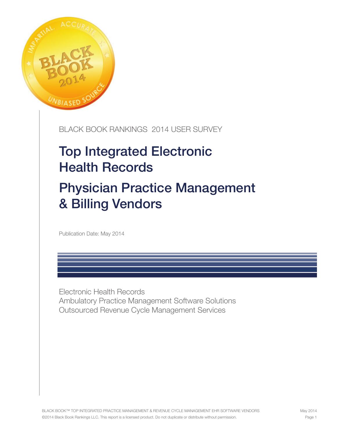

## BLACK BOOK RANKINGS 2014 USER SURVEY

# Top Integrated Electronic Health Records

# Physician Practice Management & Billing Vendors

Publication Date: May 2014

Electronic Health Records Ambulatory Practice Management Software Solutions Outsourced Revenue Cycle Management Services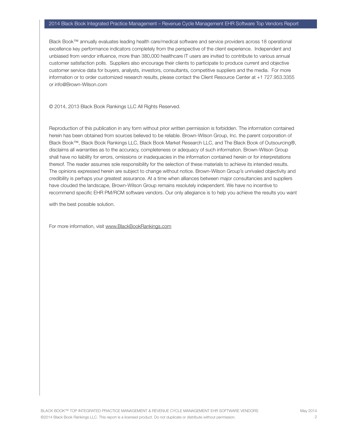#### 2014 Black Book Integrated Practice Management – Revenue Cycle Management EHR Software Top Vendors Report

Black Book™ annually evaluates leading health care/medical software and service providers across 18 operational excellence key performance indicators completely from the perspective of the client experience. Independent and unbiased from vendor influence, more than 380,000 healthcare IT users are invited to contribute to various annual customer satisfaction polls. Suppliers also encourage their clients to participate to produce current and objective customer service data for buyers, analysts, investors, consultants, competitive suppliers and the media. For more information or to order customized research results, please contact the Client Resource Center at +1 727.953.3355 or info@Brown-Wilson.com

© 2014, 2013 Black Book Rankings LLC All Rights Reserved.

Reproduction of this publication in any form without prior written permission is forbidden. The information contained herein has been obtained from sources believed to be reliable. Brown-Wilson Group, Inc. the parent corporation of Black Book™, Black Book Rankings LLC, Black Book Market Research LLC, and The Black Book of Outsourcing®, disclaims all warranties as to the accuracy, completeness or adequacy of such information. Brown-Wilson Group shall have no liability for errors, omissions or inadequacies in the information contained herein or for interpretations thereof. The reader assumes sole responsibility for the selection of these materials to achieve its intended results. The opinions expressed herein are subject to change without notice. Brown-Wilson Group's unrivaled objectivity and credibility is perhaps your greatest assurance. At a time when alliances between major consultancies and suppliers have clouded the landscape, Brown-Wilson Group remains resolutely independent. We have no incentive to recommend specific EHR PM/RCM software vendors. Our only allegiance is to help you achieve the results you want

with the best possible solution.

For more information, visit www.BlackBookRankings.com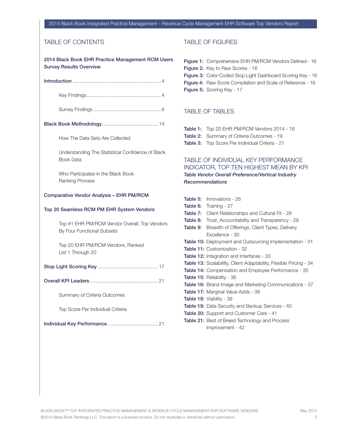#### 2014 Black Book Integrated Practice Management – Revenue Cycle Management EHR Software Top Vendors Report

### TABLE OF CONTENTS

| 2014 Black Book EHR Practice Management RCM Users<br><b>Survey Results Overview</b> |
|-------------------------------------------------------------------------------------|
|                                                                                     |
|                                                                                     |
|                                                                                     |
|                                                                                     |
| How The Data Sets Are Collected                                                     |
| Understanding The Statistical Confidence of Black<br><b>Book Data</b>               |
| Who Participates in the Black Book<br><b>Ranking Process</b>                        |
| <b>Comparative Vendor Analysis - EHR PM/RCM</b>                                     |
| Top 20 Seamless RCM PM EHR System Vendors                                           |
| Top #1 EHR PM/RCM Vendor Overall, Top Vendors<br>By Four Functional Subsets         |
| Top 20 EHR PM/RCM Vendors, Ranked<br>List 1 Through 20                              |
|                                                                                     |
|                                                                                     |
| Summary of Criteria Outcomes                                                        |
| Top Score Per Individual Criteria                                                   |
|                                                                                     |

### TABLE OF FIGURES

| <b>Figure 1:</b> Comprehensive EHR PM/RCM Vendors Defined - 16     |
|--------------------------------------------------------------------|
| <b>Figure 2:</b> Key to Raw Scores - 16                            |
| <b>Figure 3:</b> Color-Coded Stop Light Dashboard Scoring Key - 16 |
| <b>Figure 4:</b> Raw Score Compilation and Scale of Reference - 16 |
| <b>Figure 5:</b> Scoring Key - 17                                  |
|                                                                    |

### TABLE OF TABLES

| Table 1: Top 20 EHR PM/RCM Vendors 2014 - 18           |
|--------------------------------------------------------|
| <b>Table 2:</b> Summary of Criteria Outcomes - 19      |
| <b>Table 3:</b> Top Score Per Individual Criteria - 21 |

### TABLE OF INDIVIDUAL KEY PERFORMANCE INDICATOR, TOP TEN HIGHEST MEAN BY KPI *Table Vendor Overall Preference/Vertical Industry Recommendations*

| Table 5: | Innovations - 26                                                          |
|----------|---------------------------------------------------------------------------|
|          | <b>Table 6:</b> Training - 27                                             |
|          | <b>Table 7:</b> Client Relationships and Cultural Fit - 28                |
|          | <b>Table 8:</b> Trust, Accountability and Transparency - 29               |
| Table 9: | Breadth of Offerings, Client Types, Delivery                              |
|          | Excellence - 30                                                           |
|          | <b>Table 10:</b> Deployment and Outsourcing Implementation - 31           |
|          | Table 11: Customization - 32                                              |
|          | <b>Table 12:</b> Integration and Interfaces - 33                          |
|          | <b>Table 13:</b> Scalabililty, Client Adaptability, Flexible Pricing - 34 |
|          | <b>Table 14:</b> Compensation and Employee Performance - 35               |
|          | <b>Table 15: Reliability - 36</b>                                         |
|          | Table 16: Brand Image and Marketing Communications - 37                   |
|          | <b>Table 17: Marginal Value Adds - 38</b>                                 |
|          | <b>Table 18: Viability - 39</b>                                           |
|          | <b>Table 19:</b> Data Security and Backup Services - 40                   |
|          | <b>Table 20:</b> Support and Customer Care - 41                           |
|          | <b>Table 21:</b> Best of Breed Technology and Process                     |
|          | Improvement - 42                                                          |
|          |                                                                           |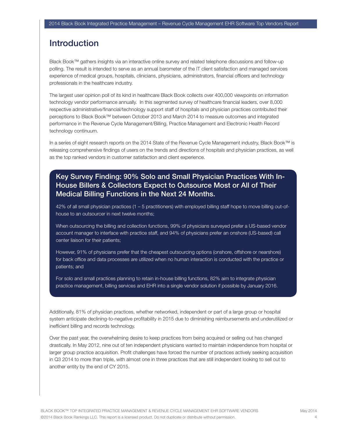## Introduction

Black Book™ gathers insights via an interactive online survey and related telephone discussions and follow-up polling. The result is intended to serve as an annual barometer of the IT client satisfaction and managed services experience of medical groups, hospitals, clinicians, physicians, administrators, financial officers and technology professionals in the healthcare industry.

The largest user opinion poll of its kind in healthcare Black Book collects over 400,000 viewpoints on information technology vendor performance annually. In this segmented survey of healthcare financial leaders, over 8,000 respective administrative/financial/technology support staff of hospitals and physician practices contributed their perceptions to Black Book™ between October 2013 and March 2014 to measure outcomes and integrated performance in the Revenue Cycle Management/Billing, Practice Management and Electronic Health Record technology continuum.

In a series of eight research reports on the 2014 State of the Revenue Cycle Management industry, Black Book™ is releasing comprehensive findings of users on the trends and directions of hospitals and physician practices, as well as the top ranked vendors in customer satisfaction and client experience.

## Key Survey Finding: 90% Solo and Small Physician Practices With In-House Billers & Collectors Expect to Outsource Most or All of Their Medical Billing Functions in the Next 24 Months.

42% of all small physician practices (1 – 5 practitioners) with employed billing staff hope to move billing out-ofhouse to an outsourcer in next twelve months;

When outsourcing the billing and collection functions, 99% of physicians surveyed prefer a US-based vendor account manager to interface with practice staff, and 94% of physicians prefer an onshore (US-based) call center liaison for their patients;

However, 91% of physicians prefer that the cheapest outsourcing options (onshore, offshore or nearshore) for back office and data processes are utilized when no human interaction is conducted with the practice or patients; and

For solo and small practices planning to retain in-house billing functions, 82% aim to integrate physician practice management, billing services and EHR into a single vendor solution if possible by January 2016.

Additionally, 81% of physician practices, whether networked, independent or part of a large group or hospital system anticipate declining-to-negative profitability in 2015 due to diminishing reimbursements and underutilized or inefficient billing and records technology.

Over the past year, the overwhelming desire to keep practices from being acquired or selling out has changed drastically. In May 2012, nine out of ten independent physicians wanted to maintain independence from hospital or larger group practice acquisition. Profit challenges have forced the number of practices actively seeking acquisition in Q3 2014 to more than triple, with almost one in three practices that are still independent looking to sell out to another entity by the end of CY 2015.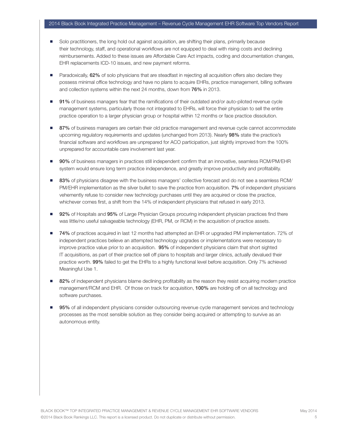#### 2014 Black Book Integrated Practice Management – Revenue Cycle Management EHR Software Top Vendors Report

- Solo practitioners, the long hold out against acquisition, are shifting their plans, primarily because their technology, staff, and operational workflows are not equipped to deal with rising costs and declining reimbursements. Added to these issues are Affordable Care Act impacts, coding and documentation changes, EHR replacements ICD-10 issues, and new payment reforms.
- Paradoxically, 62% of solo physicians that are steadfast in rejecting all acquisition offers also declare they possess minimal office technology and have no plans to acquire EHRs, practice management, billing software and collection systems within the next 24 months, down from 76% in 2013.
- 91% of business managers fear that the ramifications of their outdated and/or auto-piloted revenue cycle management systems, particularly those not integrated to EHRs, will force their physician to sell the entire practice operation to a larger physician group or hospital within 12 months or face practice dissolution.
- 87% of business managers are certain their old practice management and revenue cycle cannot accommodate upcoming regulatory requirements and updates (unchanged from 2013). Nearly 98% state the practice's financial software and workflows are unprepared for ACO participation, just slightly improved from the 100% unprepared for accountable care involvement last year.
- 90% of business managers in practices still independent confirm that an innovative, seamless RCM/PM/EHR system would ensure long term practice independence, and greatly improve productivity and profitability.
- 83% of physicians disagree with the business managers' collective forecast and do not see a seamless RCM/ PM/EHR implementation as the silver bullet to save the practice from acquisition. 7% of independent physicians vehemently refuse to consider new technology purchases until they are acquired or close the practice, whichever comes first, a shift from the 14% of independent physicians that refused in early 2013.
- 92% of Hospitals and 95% of Large Physician Groups procuring independent physician practices find there was little/no useful salvageable technology (EHR, PM, or RCM) in the acquisition of practice assets.
- 74% of practices acquired in last 12 months had attempted an EHR or upgraded PM implementation. 72% of independent practices believe an attempted technology upgrades or implementations were necessary to improve practice value prior to an acquisition. 95% of independent physicians claim that short sighted IT acquisitions, as part of their practice sell off plans to hospitals and larger clinics, actually devalued their practice worth. 99% failed to get the EHRs to a highly functional level before acquisition. Only 7% achieved Meaningful Use 1.
- 82% of independent physicians blame declining profitability as the reason they resist acquiring modern practice management/RCM and EHR. Of those on track for acquisition, 100% are holding off on all technology and software purchases.
- 95% of all independent physicians consider outsourcing revenue cycle management services and technology processes as the most sensible solution as they consider being acquired or attempting to survive as an autonomous entity.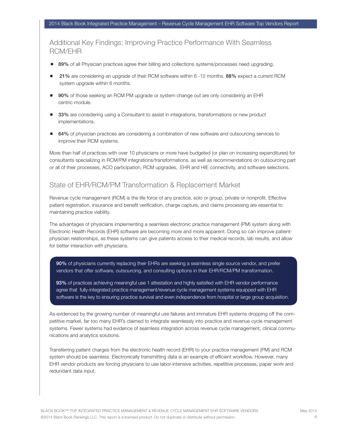## Additional Key Findings: Improving Practice Performance With Seamless RCM/EHR

- 89% of all Physician practices agree their billing and collections systems/processes need upgrading.
- 21% are considering an upgrade of their RCM software within 6 -12 months. 88% expect a current RCM system upgrade within 6 months.
- 90% of those seeking an RCM PM upgrade or system change out are only considering an EHR centric module.
- 33% are considering using a Consultant to assist in integrations, transformations or new product implementations.
- 64% of physician practices are considering a combination of new software and outsourcing services to improve their RCM systems.

More than half of practices with over 10 physicians or more have budgeted (or plan on increasing expenditures) for consultants specializing in RCM/PM integrations/transformations, as well as recommendations on outsourcing part or all of their processes, ACO participation, RCM upgrades, EHR and HIE connectivity, and software selections.

#### State of EHR/RCM/PM Transformation & Replacement Market

Revenue cycle management (RCM) is the life force of any practice, solo or group, private or nonprofit. Effective patient registration, insurance and benefit verification, charge capture, and claims processing are essential to maintaining practice viability.

The advantages of physicians implementing a seamless electronic practice management (PM) system along with Electronic Health Records (EHR) software are becoming more and more apparent. Doing so can improve patientphysician relationships, as these systems can give patients access to their medical records, lab results, and allow for better interaction with physicians.

90% of physicians currently replacing their EHRs are seeking a seamless single source vendor, and prefer vendors that offer software, outsourcing, and consulting options in their EHR/RCM/PM transformation.

93% of practices achieving meaningful use 1 attestation and highly satisfied with EHR vendor performance agree that fully-integrated practice management/revenue cycle management systems equipped with EHR software is the key to ensuring practice survival and even independence from hospital or large group acquisition.

As evidenced by the growing number of meaningful use failures and immature EHR systems dropping off the competitive market, far too many EHR's claimed to integrate seamlessly into practice and revenue cycle management systems. Fewer systems had evidence of seamless integration across revenue cycle management, clinical communications and analytics solutions.

Transferring patient charges from the electronic health record (EHR) to your practice management (PM) and RCM system should be seamless. Electronically transmitting data is an example of efficient workflow. However, many EHR vendor products are forcing physicians to use labor-intensive activities, repetitive processes, paper work and redundant data input.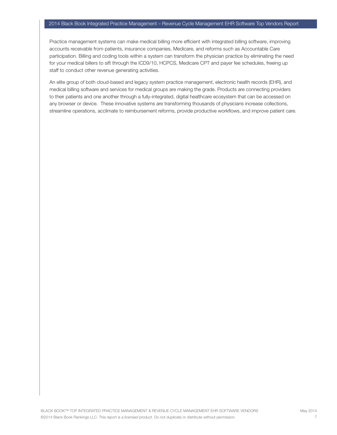Practice management systems can make medical billing more efficient with integrated billing software, improving accounts receivable from patients, insurance companies, Medicare, and reforms such as Accountable Care participation. Billing and coding tools within a system can transform the physician practice by eliminating the need for your medical billers to sift through the ICD9/10, HCPCS, Medicare CPT and payer fee schedules, freeing up staff to conduct other revenue generating activities.

An elite group of both cloud-based and legacy system practice management, electronic health records (EHR), and medical billing software and services for medical groups are making the grade. Products are connecting providers to their patients and one another through a fully-integrated, digital healthcare ecosystem that can be accessed on any browser or device. These innovative systems are transforming thousands of physicians increase collections, streamline operations, acclimate to reimbursement reforms, provide productive workflows, and improve patient care.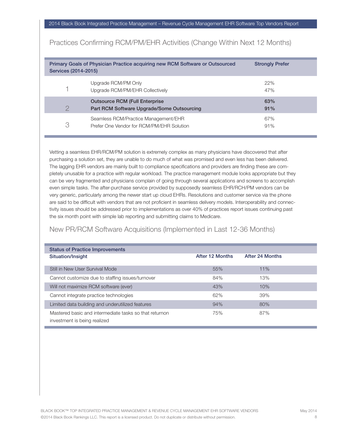| Services (2014-2015) | Primary Goals of Physician Practice acquiring new RCM Software or Outsourced        | <b>Strongly Prefer</b> |
|----------------------|-------------------------------------------------------------------------------------|------------------------|
|                      | Upgrade RCM/PM Only<br>Upgrade RCM/PM/EHR Collectively                              | 22%<br>47%             |
| 2                    | <b>Outsource RCM (Full Enterprise</b><br>Part RCM Software Upgrade/Some Outsourcing | 63%<br>91%             |
| 3                    | Seamless RCM/Practice Management/EHR<br>Prefer One Vendor for RCM/PM/EHR Solution   | 67%<br>91%             |

Practices Confirming RCM/PM/EHR Activities (Change Within Next 12 Months)

Vetting a seamless EHR/RCM/PM solution is extremely complex as many physicians have discovered that after purchasing a solution set, they are unable to do much of what was promised and even less has been delivered. The lagging EHR vendors are mainly built to compliance specifications and providers are finding these are completely unusable for a practice with regular workload. The practice management module looks appropriate but they can be very fragmented and physicians complain of going through several applications and screens to accomplish even simple tasks. The after-purchase service provided by supposedly seamless EHR/RCH/PM vendors can be very generic, particularly among the newer start up cloud EHRs. Resolutions and customer service via the phone are said to be difficult with vendors that are not proficient in seamless delivery models. Interoperability and connectivity issues should be addressed prior to implementations as over 40% of practices report issues continuing past the six month point with simple lab reporting and submitting claims to Medicare.

### New PR/RCM Software Acquisitions (Implemented in Last 12-36 Months)

 $\overline{a}$ 

| <b>Status of Practice Improvements</b>                                                 |                        |                 |  |
|----------------------------------------------------------------------------------------|------------------------|-----------------|--|
| Situation/Insight                                                                      | <b>After 12 Months</b> | After 24 Months |  |
| Still in New User Survival Mode                                                        | 55%                    | 11%             |  |
| Cannot customize due to staffing issues/turnover                                       | 84%                    | 13%             |  |
| Will not maximize RCM software (ever)                                                  | 43%                    | 10%             |  |
| Cannot integrate practice technologies                                                 | 62%                    | 39%             |  |
| Limited data building and underutilized features                                       | 94%                    | 80%             |  |
| Mastered basic and intermediate tasks so that returnon<br>investment is being realized | 75%                    | 87%             |  |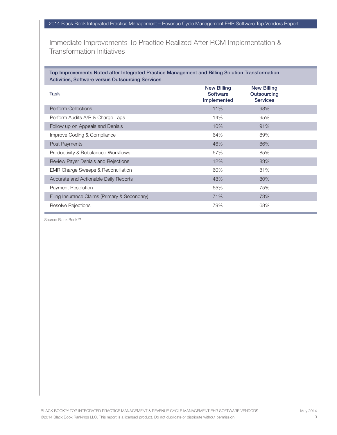Immediate Improvements To Practice Realized After RCM Implementation & Transformation Initiatives

Top Improvements Noted after Integrated Practice Management and Billing Solution Transformation Activities, Software versus Outsourcing Services

| <b>Task</b>                                   | <b>New Billing</b><br><b>Software</b><br>Implemented | <b>New Billing</b><br><b>Outsourcing</b><br><b>Services</b> |  |
|-----------------------------------------------|------------------------------------------------------|-------------------------------------------------------------|--|
| <b>Perform Collections</b>                    | 11%                                                  | 98%                                                         |  |
| Perform Audits A/R & Charge Lags              | 14%                                                  | 95%                                                         |  |
| Follow up on Appeals and Denials              | 10%                                                  | 91%                                                         |  |
| Improve Coding & Compliance                   | 64%                                                  | 89%                                                         |  |
| Post Payments                                 | 46%                                                  | 86%                                                         |  |
| Productivity & Rebalanced Workflows           | 67%                                                  | 85%                                                         |  |
| Review Payer Denials and Rejections           | 12%                                                  | 83%                                                         |  |
| <b>EMR Charge Sweeps &amp; Reconciliation</b> | 60%                                                  | 81%                                                         |  |
| Accurate and Actionable Daily Reports         | 48%                                                  | 80%                                                         |  |
| Payment Resolution                            | 65%                                                  | 75%                                                         |  |
| Filing Insurance Claims (Primary & Secondary) | 71%                                                  | 73%                                                         |  |
| Resolve Rejections                            | 79%                                                  | 68%                                                         |  |

Source: Black Book™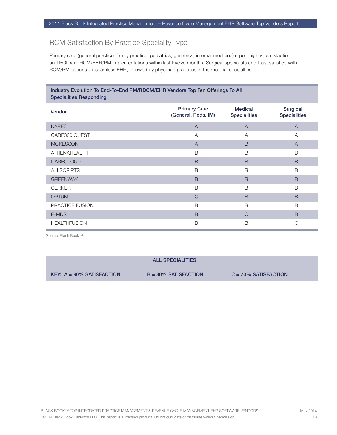## RCM Satisfaction By Practice Speciality Type

Primary care (general practice, family practice, pediatrics, geriatrics, internal medicine) report highest satisfaction and ROI from RCM/EHR/PM implementations within last twelve months. Surgical specialists and least satisfied with RCM/PM options for seamless EHR, followed by physician practices in the medical specialties.

#### Industry Evolution To End-To-End PM/RDCM/EHR Vendors Top Ten Offerings To All Specialities Responding

| Vendor              | <b>Primary Care</b><br>(General, Peds, IM) | <b>Medical</b><br><b>Specialities</b> | <b>Surgical</b><br><b>Specialities</b> |
|---------------------|--------------------------------------------|---------------------------------------|----------------------------------------|
| <b>KAREO</b>        | $\overline{A}$                             | $\overline{A}$                        | $\overline{A}$                         |
| CARE360 QUEST       | A                                          | $\overline{A}$                        | A                                      |
| <b>MCKESSON</b>     | $\overline{A}$                             | B                                     | $\overline{A}$                         |
| <b>ATHENAHEALTH</b> | B                                          | B                                     | B                                      |
| CARECLOUD           | B                                          | B                                     | B                                      |
| <b>ALLSCRIPTS</b>   | B                                          | B                                     | B                                      |
| <b>GREENWAY</b>     | B                                          | B                                     | B                                      |
| <b>CERNER</b>       | B                                          | B                                     | B                                      |
| <b>OPTUM</b>        | $\mathcal{C}$                              | B                                     | B                                      |
| PRACTICE FUSION     | B                                          | B                                     | B                                      |
| E-MDS               | B                                          | $\mathcal{C}$                         | $\mathsf B$                            |
| <b>HEALTHFUSION</b> | B                                          | B                                     | C                                      |

Source: Black Book™

#### ALL SPECIALITIES

KEY:  $A = 90\%$  SATISFACTION  $B = 80\%$  SATISFACTION  $C = 70\%$  SATISFACTION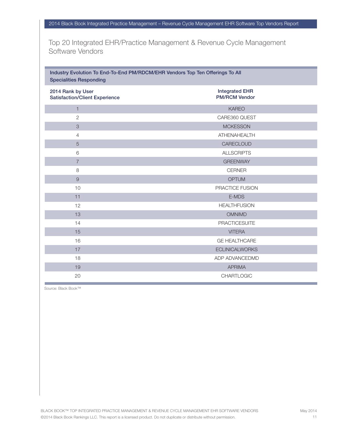Top 20 Integrated EHR/Practice Management & Revenue Cycle Management Software Vendors

#### Industry Evolution To End-To-End PM/RDCM/EHR Vendors Top Ten Offerings To All Specialities Responding

| 2014 Rank by User<br><b>Satisfaction/Client Experience</b> | <b>Integrated EHR</b><br><b>PM/RCM Vendor</b> |
|------------------------------------------------------------|-----------------------------------------------|
| $\mathbf{1}$                                               | <b>KAREO</b>                                  |
| $\overline{2}$                                             | CARE360 QUEST                                 |
| 3                                                          | <b>MCKESSON</b>                               |
| 4                                                          | ATHENAHEALTH                                  |
| 5                                                          | CARECLOUD                                     |
| 6                                                          | <b>ALLSCRIPTS</b>                             |
| $\overline{7}$                                             | <b>GREENWAY</b>                               |
| 8                                                          | <b>CERNER</b>                                 |
| $\overline{9}$                                             | <b>OPTUM</b>                                  |
| 10                                                         | PRACTICE FUSION                               |
| 11                                                         | E-MDS                                         |
| 12                                                         | <b>HEALTHFUSION</b>                           |
| 13                                                         | <b>OMNIMD</b>                                 |
| 14                                                         | <b>PRACTICESUITE</b>                          |
| 15                                                         | <b>VITERA</b>                                 |
| 16                                                         | <b>GE HEALTHCARE</b>                          |
| 17                                                         | <b>ECLINICALWORKS</b>                         |
| 18                                                         | ADP ADVANCEDMD                                |
| 19                                                         | <b>APRIMA</b>                                 |
| 20                                                         | CHARTLOGIC                                    |

Source: Black Book™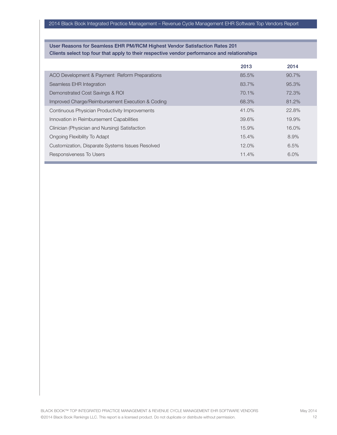#### 2014 Black Book Integrated Practice Management – Revenue Cycle Management EHR Software Top Vendors Report

#### User Reasons for Seamless EHR PM/RCM Highest Vendor Satisfaction Rates 201 Clients select top four that apply to their respective vendor performance and relationships

|                                                  | 2013     | 2014    |
|--------------------------------------------------|----------|---------|
| ACO Development & Payment Reform Preparations    | 85.5%    | 90.7%   |
| Seamless EHR Integration                         | 83.7%    | 95.3%   |
| Demonstrated Cost Savings & ROI                  | 70.1%    | 72.3%   |
| Improved Charge/Reimbursement Execution & Coding | 68.3%    | 81.2%   |
| Continuous Physician Productivity Improvements   | 41.0%    | 22.8%   |
| Innovation in Reimbursement Capabilities         | 39.6%    | 19.9%   |
| Clinician (Physician and Nursing) Satisfaction   | 15.9%    | 16.0%   |
| Ongoing Flexibility To Adapt                     | 15.4%    | 8.9%    |
| Customization, Disparate Systems Issues Resolved | $12.0\%$ | 6.5%    |
| Responsiveness To Users                          | 11.4%    | $6.0\%$ |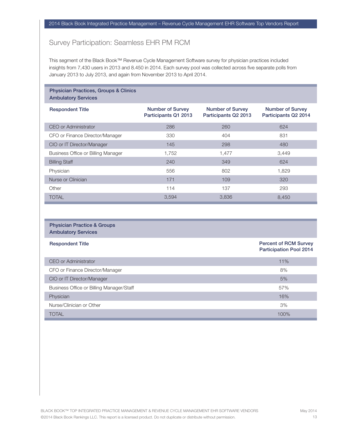## Survey Participation: Seamless EHR PM RCM

This segment of the Black Book™ Revenue Cycle Management Software survey for physician practices included insights from 7,430 users in 2013 and 8.450 in 2014. Each survey pool was collected across five separate polls from January 2013 to July 2013, and again from November 2013 to April 2014.

#### Physician Practices, Groups & Clinics Ambulatory Services

| <b>Respondent Title</b>            | <b>Number of Survey</b><br>Participants Q1 2013 | <b>Number of Survey</b><br>Participants Q2 2013 | <b>Number of Survey</b><br>Participants Q2 2014 |
|------------------------------------|-------------------------------------------------|-------------------------------------------------|-------------------------------------------------|
| CEO or Administrator               | 286                                             | 260                                             | 624                                             |
| CFO or Finance Director/Manager    | 330                                             | 404                                             | 831                                             |
| CIO or IT Director/Manager         | 145                                             | 298                                             | 480                                             |
| Business Office or Billing Manager | 1,752                                           | 1,477                                           | 3.449                                           |
| <b>Billing Staff</b>               | 240                                             | 349                                             | 624                                             |
| Physician                          | 556                                             | 802                                             | 1.829                                           |
| Nurse or Clinician                 | 171                                             | 109                                             | 320                                             |
| Other                              | 114                                             | 137                                             | 293                                             |
| <b>TOTAL</b>                       | 3,594                                           | 3,836                                           | 8,450                                           |

#### Physician Practice & Groups Ambulatory Services

| <b>Respondent Title</b>                  | <b>Percent of RCM Survey</b><br><b>Participation Pool 2014</b> |
|------------------------------------------|----------------------------------------------------------------|
| CEO or Administrator                     | 11%                                                            |
| CFO or Finance Director/Manager          | 8%                                                             |
| CIO or IT Director/Manager               | 5%                                                             |
| Business Office or Billing Manager/Staff | 57%                                                            |
| Physician                                | 16%                                                            |
| Nurse/Clinician or Other                 | 3%                                                             |
| <b>TOTAL</b>                             | 100%                                                           |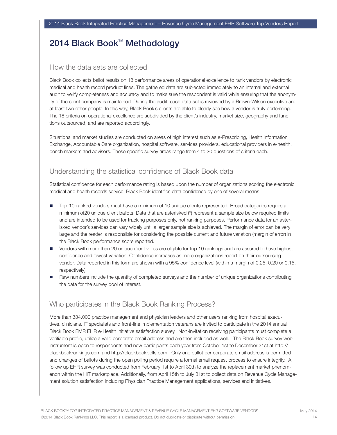## 2014 Black Book™ Methodology

### How the data sets are collected

Black Book collects ballot results on 18 performance areas of operational excellence to rank vendors by electronic medical and health record product lines. The gathered data are subjected immediately to an internal and external audit to verify completeness and accuracy and to make sure the respondent is valid while ensuring that the anonymity of the client company is maintained. During the audit, each data set is reviewed by a Brown-Wilson executive and at least two other people. In this way, Black Book's clients are able to clearly see how a vendor is truly performing. The 18 criteria on operational excellence are subdivided by the client's industry, market size, geography and functions outsourced, and are reported accordingly.

Situational and market studies are conducted on areas of high interest such as e-Prescribing, Health Information Exchange, Accountable Care organization, hospital software, services providers, educational providers in e-health, bench markers and advisors. These specific survey areas range from 4 to 20 questions of criteria each.

## Understanding the statistical confidence of Black Book data

Statistical confidence for each performance rating is based upon the number of organizations scoring the electronic medical and health records service. Black Book identifies data confidence by one of several means:

- Top-10-ranked vendors must have a minimum of 10 unique clients represented. Broad categories require a minimum of20 unique client ballots. Data that are asterisked (\*) represent a sample size below required limits and are intended to be used for tracking purposes only, not ranking purposes. Performance data for an asterisked vendor's services can vary widely until a larger sample size is achieved. The margin of error can be very large and the reader is responsible for considering the possible current and future variation (margin of error) in the Black Book performance score reported.
- **-** Vendors with more than 20 unique client votes are eligible for top 10 rankings and are assured to have highest confidence and lowest variation. Confidence increases as more organizations report on their outsourcing vendor. Data reported in this form are shown with a 95% confidence level (within a margin of 0.25, 0.20 or 0.15, respectively).
- Raw numbers include the quantity of completed surveys and the number of unique organizations contributing the data for the survey pool of interest.

## Who participates in the Black Book Ranking Process?

More than 334,000 practice management and physician leaders and other users ranking from hospital executives, clinicians, IT specialists and front-line implementation veterans are invited to participate in the 2014 annual Black Book EMR EHR e-Health initiative satisfaction survey. Non-invitation receiving participants must complete a verifiable profile, utilize a valid corporate email address and are then included as well. The Black Book survey web instrument is open to respondents and new participants each year from October 1st to December 31st at http:// blackbookrankings.com and http://blackbookpolls.com. Only one ballot per corporate email address is permitted and changes of ballots during the open polling period require a formal email request process to ensure integrity. A follow up EHR survey was conducted from February 1st to April 30th to analyze the replacement market phenomenon within the HIT marketplace. Additionally, from April 15th to July 31st to collect data on Revenue Cycle Management solution satisfaction including Physician Practice Management applications, services and initiatives.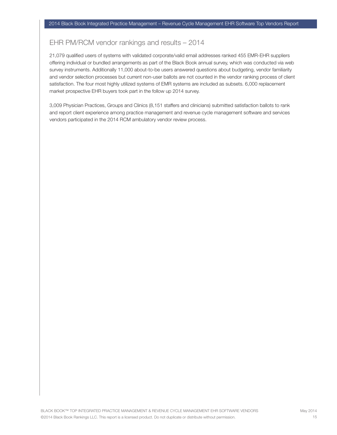## EHR PM/RCM vendor rankings and results – 2014

21,079 qualified users of systems with validated corporate/valid email addresses ranked 455 EMR-EHR suppliers offering individual or bundled arrangements as part of the Black Book annual survey, which was conducted via web survey instruments. Additionally 11,000 about-to-be users answered questions about budgeting, vendor familiarity and vendor selection processes but current non-user ballots are not counted in the vendor ranking process of client satisfaction. The four most highly utilized systems of EMR systems are included as subsets. 6,000 replacement market prospective EHR buyers took part in the follow up 2014 survey.

3,009 Physician Practices, Groups and Clinics (8,151 staffers and clinicians) submitted satisfaction ballots to rank and report client experience among practice management and revenue cycle management software and services vendors participated in the 2014 RCM ambulatory vendor review process.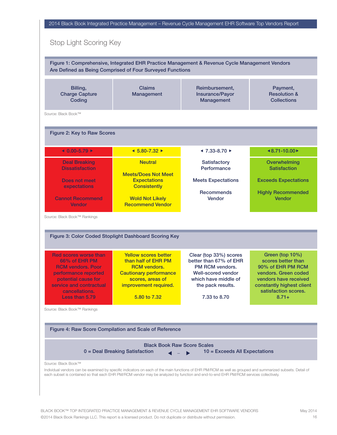|                                                                                                                                                                                         | Are Defined as Being Comprised of Four Surveyed Functions                                                                                                               | Figure 1: Comprehensive, Integrated EHR Practice Management & Revenue Cycle Management Vendors                                                                       |                                                                                                                                                                             |
|-----------------------------------------------------------------------------------------------------------------------------------------------------------------------------------------|-------------------------------------------------------------------------------------------------------------------------------------------------------------------------|----------------------------------------------------------------------------------------------------------------------------------------------------------------------|-----------------------------------------------------------------------------------------------------------------------------------------------------------------------------|
| Billing,<br><b>Charge Capture</b><br>Coding                                                                                                                                             | <b>Claims</b><br>Management                                                                                                                                             | Reimbursement,<br><b>Insurance/Payor</b><br><b>Management</b>                                                                                                        | Payment,<br><b>Resolution &amp;</b><br><b>Collections</b>                                                                                                                   |
| Source: Black Book™                                                                                                                                                                     |                                                                                                                                                                         |                                                                                                                                                                      |                                                                                                                                                                             |
| Figure 2: Key to Raw Scores                                                                                                                                                             |                                                                                                                                                                         |                                                                                                                                                                      |                                                                                                                                                                             |
| $40.00 - 5.79 +$                                                                                                                                                                        | $\triangleleft$ 5.80-7.32 ▶                                                                                                                                             | $-7.33 - 8.70$                                                                                                                                                       | $48.71 - 10.00$                                                                                                                                                             |
| <b>Deal Breaking</b><br><b>Dissatisfaction</b>                                                                                                                                          | <b>Neutral</b>                                                                                                                                                          | <b>Satisfactory</b><br>Performance                                                                                                                                   | Overwhelming<br><b>Satisfaction</b>                                                                                                                                         |
| <b>Does not meet</b><br>expectations                                                                                                                                                    | <b>Meets/Does Not Meet</b><br><b>Expectations</b><br><b>Consistently</b>                                                                                                | <b>Meets Expectations</b>                                                                                                                                            | <b>Exceeds Expectations</b>                                                                                                                                                 |
| <b>Cannot Recommend</b><br><b>Vendor</b>                                                                                                                                                | <b>Wold Not Likely</b><br><b>Recommend Vendor</b>                                                                                                                       | <b>Recommends</b><br><b>Vendor</b>                                                                                                                                   | <b>Highly Recommended</b><br>Vendor                                                                                                                                         |
| Source: Black Book™ Rankings                                                                                                                                                            |                                                                                                                                                                         |                                                                                                                                                                      |                                                                                                                                                                             |
|                                                                                                                                                                                         | Figure 3: Color Coded Stoplight Dashboard Scoring Key                                                                                                                   |                                                                                                                                                                      |                                                                                                                                                                             |
| <b>Red scores worse than</b><br>66% of EHR PM<br><b>RCM</b> vendors. Poor<br>performance reported<br>potential cause for<br>service and contractual<br>cancellations.<br>Less than 5.79 | <b>Yellow scores better</b><br>than half of EHR PM<br><b>RCM</b> vendors.<br><b>Cautionary performance</b><br>scores, areas of<br>improvement required.<br>5.80 to 7.32 | Clear (top 33%) scores<br>better than 67% of EHR<br><b>PM RCM vendors.</b><br><b>Well-scored vendor</b><br>which have middle of<br>the pack results.<br>7.33 to 8.70 | Green (top 10%)<br>scores better than<br>90% of EHR PM RCM<br>vendors. Green coded<br>vendors have received<br>constantly highest client<br>satisfaction scores.<br>$8.71+$ |
| Source: Black Book™ Rankings                                                                                                                                                            |                                                                                                                                                                         |                                                                                                                                                                      |                                                                                                                                                                             |
|                                                                                                                                                                                         | Figure 4: Raw Score Compilation and Scale of Reference                                                                                                                  |                                                                                                                                                                      |                                                                                                                                                                             |

 $\overline{1}$ п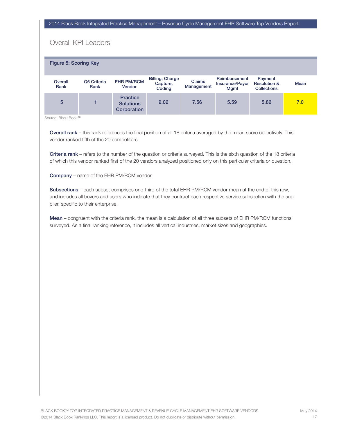#### 2014 Black Book Integrated Practice Management – Revenue Cycle Management EHR Software Top Vendors Report

## Overall KPI Leaders

| <b>Figure 5: Scoring Key</b> |                     |                                                    |                                              |                             |                                                 |                                                          |      |
|------------------------------|---------------------|----------------------------------------------------|----------------------------------------------|-----------------------------|-------------------------------------------------|----------------------------------------------------------|------|
| Overall<br>Rank              | Q6 Criteria<br>Rank | <b>EHR PM/RCM</b><br>Vendor                        | <b>Billing, Charge</b><br>Capture,<br>Coding | <b>Claims</b><br>Management | Reimbursement<br>Insurance/Payor<br><b>Mgmt</b> | Payment<br><b>Resolution &amp;</b><br><b>Collections</b> | Mean |
| 5                            |                     | <b>Practice</b><br><b>Solutions</b><br>Corporation | 9.02                                         | 7.56                        | 5.59                                            | 5.82                                                     | 7.0  |

Source: Black Book™

Overall rank – this rank references the final position of all 18 criteria averaged by the mean score collectively. This vendor ranked fifth of the 20 competitors.

Criteria rank – refers to the number of the question or criteria surveyed. This is the sixth question of the 18 criteria of which this vendor ranked first of the 20 vendors analyzed positioned only on this particular criteria or question.

Company – name of the EHR PM/RCM vendor.

Subsections – each subset comprises one-third of the total EHR PM/RCM vendor mean at the end of this row, and includes all buyers and users who indicate that they contract each respective service subsection with the supplier, specific to their enterprise.

Mean – congruent with the criteria rank, the mean is a calculation of all three subsets of EHR PM/RCM functions surveyed. As a final ranking reference, it includes all vertical industries, market sizes and geographies.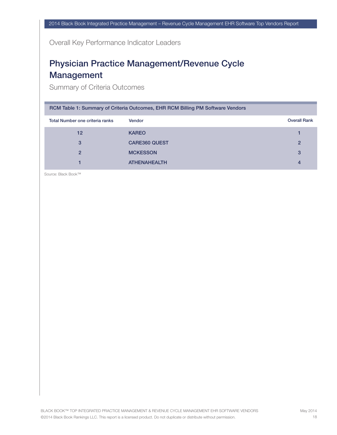Overall Key Performance Indicator Leaders

## Physician Practice Management/Revenue Cycle Management

Summary of Criteria Outcomes

| RCM Table 1: Summary of Criteria Outcomes, EHR RCM Billing PM Software Vendors |                      |                     |  |  |  |  |  |  |
|--------------------------------------------------------------------------------|----------------------|---------------------|--|--|--|--|--|--|
| Total Number one criteria ranks                                                | <b>Vendor</b>        | <b>Overall Rank</b> |  |  |  |  |  |  |
| 12 <sup>2</sup>                                                                | <b>KAREO</b>         |                     |  |  |  |  |  |  |
| 3                                                                              | <b>CARE360 QUEST</b> | $\overline{2}$      |  |  |  |  |  |  |
| $\mathfrak{p}$                                                                 | <b>MCKESSON</b>      | 3                   |  |  |  |  |  |  |
|                                                                                | <b>ATHENAHEALTH</b>  | 4                   |  |  |  |  |  |  |

Source: Black Book™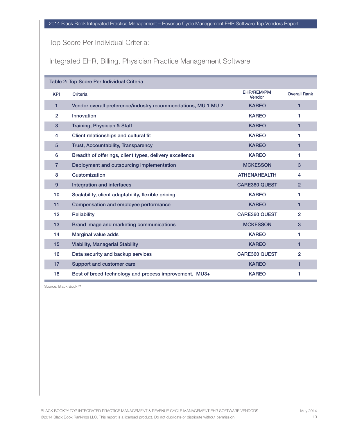Top Score Per Individual Criteria:

Integrated EHR, Billing, Physician Practice Management Software

|                 | Table 2: Top Score Per Individual Criteria                    |                             |                     |
|-----------------|---------------------------------------------------------------|-----------------------------|---------------------|
| <b>KPI</b>      | Criteria                                                      | <b>EHR/REM/PM</b><br>Vendor | <b>Overall Rank</b> |
| 1               | Vendor overall preference/industry recommendations, MU 1 MU 2 | <b>KAREO</b>                | $\mathbf{1}$        |
| $\overline{2}$  | Innovation                                                    | <b>KAREO</b>                | 1.                  |
| 3               | Training, Physician & Staff                                   | <b>KAREO</b>                | 1                   |
| 4               | Client relationships and cultural fit                         | <b>KAREO</b>                | 1.                  |
| $5\phantom{.0}$ | <b>Trust, Accountability, Transparency</b>                    | <b>KAREO</b>                | 1                   |
| 6               | Breadth of offerings, client types, delivery excellence       | <b>KAREO</b>                | 1.                  |
| $\overline{7}$  | Deployment and outsourcing implementation                     | <b>MCKESSON</b>             | 3                   |
| 8               | Customization                                                 | <b>ATHENAHEALTH</b>         | 4                   |
| $9^{\circ}$     | <b>Integration and interfaces</b>                             | <b>CARE360 QUEST</b>        | $\overline{2}$      |
| 10 <sup>1</sup> | Scalability, client adaptability, flexible pricing            | <b>KAREO</b>                | 1.                  |
| 11              | Compensation and employee performance                         | <b>KAREO</b>                | 1                   |
| 12              | Reliability                                                   | <b>CARE360 QUEST</b>        | $\overline{2}$      |
| 13              | Brand image and marketing communications                      | <b>MCKESSON</b>             | 3                   |
| 14              | <b>Marginal value adds</b>                                    | <b>KAREO</b>                | 1.                  |
| 15              | <b>Viability, Managerial Stability</b>                        | <b>KAREO</b>                | 1                   |
| 16              | Data security and backup services                             | <b>CARE360 QUEST</b>        | 2                   |
| 17              | Support and customer care                                     | <b>KAREO</b>                | 1                   |
| 18              | Best of breed technology and process improvement, MU3+        | <b>KAREO</b>                | 1.                  |

Source: Black Book™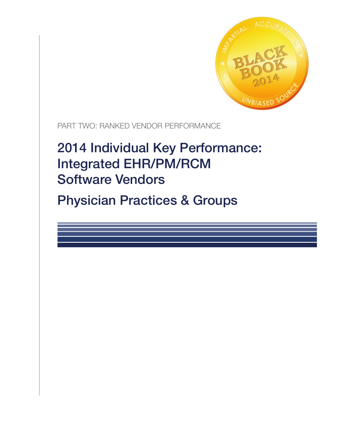

PART TWO: RANKED VENDOR PERFORMANCE

# 2014 Individual Key Performance: Integrated EHR/PM/RCM Software Vendors

Physician Practices & Groups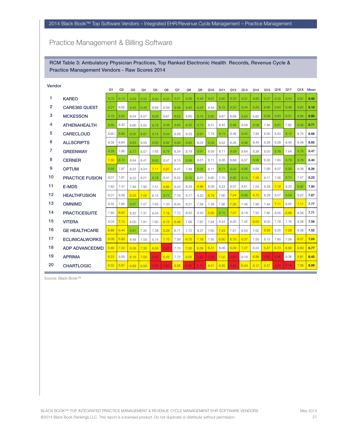## Practice Management & Billing Software

RCM Table 3: Ambulatory Physician Practices, Top Ranked Electronic Health Records, Revenue Cycle & Practice Management Vendors - Raw Scores 2014

| Vendor         |                        | Q1   | Q2   | Q <sub>3</sub> | Q <sub>4</sub> | Q <sub>5</sub> | Q <sub>6</sub> | Q <sub>7</sub> | Q8   | Q9   | Q10  | Q11  | Q12  | Q13  | Q14  | Q <sub>15</sub> | Q <sub>16</sub> | Q17  | Q18  | Mean |
|----------------|------------------------|------|------|----------------|----------------|----------------|----------------|----------------|------|------|------|------|------|------|------|-----------------|-----------------|------|------|------|
| 1              | <b>KAREO</b>           | 9.70 | 9.13 | 9.59           | 9.53           | 9.50           | 9.53           | 9.21           | 9.39 | 9.48 | 9.61 | 9.60 | 9.33 | 9.31 | 9.65 | 9.37            | 9.35            | 9.54 | 9.81 | 9.48 |
| $\overline{2}$ | <b>CARE360 QUEST</b>   | 9.21 | 8.62 | 9.43           | 9.49           | 8.69           | 8.59           | 8.99           | 9.40 | 9.53 | 8.44 | 9.15 | 9.55 | 9.44 | 9.29 | 8.96            | 9.63            | 9.46 | 9.62 | 9.19 |
| 3              | <b>MCKESSON</b>        | 8.79 | 8.92 | 8.54           | 8.57           | 9.09           | 8.67           | 9.52           | 8.65 | 9.15 | 8.95 | 8.67 | 8.68 | 9.54 | 8.60 | 9.09            | 8.83            | 9.01 | 8.88 | 8.90 |
| 4              | <b>ATHENAHEALTH</b>    | 8.86 | 8.30 | 8.66           | 8.55           | 8.79           | 9.06           | 8.84           | 9.45 | 9.13 | 8.51 | 8.45 | 8.86 | 8.58 | 9.09 | 7.94            | 8.81            | 7.82 | 9.08 | 8.71 |
| 5              | <b>CARECLOUD</b>       | 8.60 | 8.86 | 9.05           | 8.87           | 9.15           | 9.04           | 8.58           | 8.03 | 8.91 | 7.79 | 8.74 | 8.48 | 9.40 | 7.84 | 8.50            | 8.50            | 9.12 | 8.70 | 8.68 |
| 6              | <b>ALLSCRIPTS</b>      | 8.38 | 8.64 | 8.83           | 8.53           | 8.93           | 8.82           | 8.94           | 8.85 | 8.03 | 9.09 | 8.52 | 8.26 | 8.98 | 8.49 | 8.28            | 8.28            | 8.40 | 8.48 | 8.60 |
| 7              | <b>GREENWAY</b>        | 9.28 | 7.95 | 8.77           | 8.57           | 7.63           | 8.79           | 8.24           | 8.19 | 8.97 | 8.59 | 8.11 | 9.09 | 8.64 | 8.38 | 8.05            | 8.76            | 7.64 | 8.78 | 8.47 |
| 8              | <b>CERNER</b>          | 7.30 | 8.74 | 8.64           | 8.41           | 8.83           | 8.47           | 8.13           | 8.98 | 8.01 | 8.11 | 8.26 | 8.68 | 8.07 | 8.99 | 8.30            | 7.63            | 8.79 | 8.78 | 8.40 |
| 9              | <b>OPTUM</b>           | 8.85 | 7.87 | 8.23           | 8.24           | 7.11           | 6.97           | 8.47           | 7.48 | 9.05 | 8.11 | 8.71 | 9.04 | 8.86 | 8.69 | 7.69            | 8.07            | 8.93 | 8.38 | 8.26 |
| 10             | <b>PRACTICE FUSION</b> | 8.01 | 7.61 | 8.22           | 8.21           | 9.18           | 8.41           | 8.22           | 9.16 | 8.01 | 8.60 | 7.70 | 8.85 | 9.14 | 7.26 | 8.17            | 7.26            | 8.74 | 7.47 | 8.23 |
| 11             | <b>E-MDS</b>           | 7.82 | 7.47 | 7.94           | 7.95           | 7.51           | 6.85           | 8.24           | 8.33 | 6.99 | 8.09 | 8.23 | 8.07 | 8.61 | 7.54 | 8.29            | 7.18            | 8.20 | 8.82 | 7.90 |
| 12             | <b>HEALTHFUSION</b>    | 8.01 | 8.09 | 6.03           | 7.09           | 8.15           | 8.75           | 7.76           | 8.17 | 8.20 | 6.76 | 7.60 | 7.04 | 8.98 | 6.70 | 8.29            | 8.51            | 9.29 | 8.22 | 7.87 |
| 13             | <b>OMNIMD</b>          | 8.45 | 7.66 | 9.07           | 7.57           | 7.63           | 7.35           | 8.04           | 8.21 | 7.58 | 7.39 | 7.96 | 7.30 | 7.46 | 7.92 | 7.44            | 7.11            | 8.62 | 7.11 | 7.77 |
| 14             | <b>PRACTICESUITE</b>   | 7.85 | 6.50 | 8.22           | 7.37           | 8.04           | 7.18           | 7.72           | 8.52 | 8.43 | 5.95 | 9.15 | 7.07 | 8.19 | 7.50 | 7.92            | 8.05            | 6.88 | 8.28 | 7.71 |
| 15             | <b>VITERA</b>          | 8.04 | 7.15 | 8.00           | 7.91           | 7.60           | 6.15           | 6.46           | 7.69 | 7.87 | 7.94 | 8.24 | 8.05 | 7.42 | 6.50 | 8.05            | 7.78            | 7.76 | 8.08 | 7.59 |
| 16             | <b>GE HEALTHCARE</b>   | 6.89 | 6.44 | 8.91           | 7.35           | 7.38           | 6.28           | 8.11           | 7.72 | 8.27 | 7.60 | 7.24 | 7.61 | 8.03 | 7.62 | 6.59            | 8.25            | 7.28 | 8.08 | 7.52 |
| 17             | <b>ECLINICALWORKS</b>  | 6.09 | 6.83 | 8.48           | 7.59           | 8.14           | 7.15           | 7.59           | 6.75 | 7.18 | 7.55 | 6.90 | 6.75 | 6.37 | 7.55 | 8.15            | 7.60            | 7.58 | 6.07 | 7.24 |
| 18             | <b>ADP ADVANCEDMD</b>  | 5.86 | 7.00 | 6.08           | 7.30           | 6.56           | 5.61           | 7.70           | 7.20 | 6.39 | 6.31 | 8.06 | 6.09 | 7.27 | 8.24 | 5.87            | 6.70            | 6.99 | 6.69 | 6.77 |
| 19             | <b>APRIMA</b>          | 6.23 | 8.59 | 6.18           | 7.03           | 5.62           | 6.22           | 7.72           | 6.05 | 5.87 | 5.39 | 7.02 | 4.64 | 8.19 | 6.88 | 4.81            | 5.46            | 8.38 | 5.81 | 6.45 |
| 20             | <b>CHARTLOGIC</b>      | 6.55 | 6.91 | 6.89           | 6.59           | 5.35           | 5.83           | 6.38           | 5.30 | 5.12 | 6.41 | 6.36 | 5.44 | 6.49 | 6.12 | 6.57            | 5.00            | 5.18 | 7.06 | 6.09 |

Source: Black Book™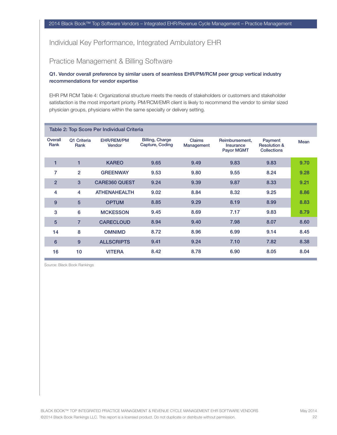## Practice Management & Billing Software

#### Q1. Vendor overall preference by similar users of seamless EHR/PM/RCM peer group vertical industry recommendations for vendor expertise

EHR PM RCM Table 4: Organizational structure meets the needs of stakeholders or customers and stakeholder satisfaction is the most important priority. PM/RCM/EMR client is likely to recommend the vendor to similar sized physician groups, physicians within the same specialty or delivery setting.

|                 |                     | Table 2: Top Score Per Individual Criteria |                                           |                      |                                                  |                                                          |      |
|-----------------|---------------------|--------------------------------------------|-------------------------------------------|----------------------|--------------------------------------------------|----------------------------------------------------------|------|
| Overall<br>Rank | Q1 Criteria<br>Rank | EHR/REM/PM<br>Vendor                       | <b>Billing, Charge</b><br>Capture, Coding | Claims<br>Management | Reimbursement,<br>Insurance<br><b>Payor MGMT</b> | Payment<br><b>Resolution &amp;</b><br><b>Collections</b> | Mean |
| 1               | 1                   | <b>KAREO</b>                               | 9.65                                      | 9.49                 | 9.83                                             | 9.83                                                     | 9.70 |
| $\overline{7}$  | $\overline{2}$      | <b>GREENWAY</b>                            | 9.53                                      | 9.80                 | 9.55                                             | 8.24                                                     | 9.28 |
| $\overline{2}$  | 3                   | <b>CARE360 QUEST</b>                       | 9.24                                      | 9.39                 | 9.87                                             | 8.33                                                     | 9.21 |
| 4               | 4                   | <b>ATHENAHEALTH</b>                        | 9.02                                      | 8.84                 | 8.32                                             | 9.25                                                     | 8.86 |
| 9               | 5                   | <b>OPTUM</b>                               | 8.85                                      | 9.29                 | 8.19                                             | 8.99                                                     | 8.83 |
| 3               | 6                   | <b>MCKESSON</b>                            | 9.45                                      | 8.69                 | 7.17                                             | 9.83                                                     | 8.79 |
| 5               | $\overline{7}$      | <b>CARECLOUD</b>                           | 8.94                                      | 9.40                 | 7.98                                             | 8.07                                                     | 8.60 |
| 14              | 8                   | <b>OMNIMD</b>                              | 8.72                                      | 8.96                 | 6.99                                             | 9.14                                                     | 8.45 |
| $6\phantom{1}6$ | 9                   | <b>ALLSCRIPTS</b>                          | 9.41                                      | 9.24                 | 7.10                                             | 7.82                                                     | 8.38 |
| 16              | 10                  | <b>VITERA</b>                              | 8.42                                      | 8.78                 | 6.90                                             | 8.05                                                     | 8.04 |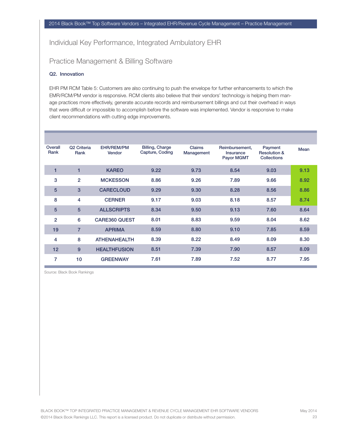## Practice Management & Billing Software

#### Q2. Innovation

EHR PM RCM Table 5: Customers are also continuing to push the envelope for further enhancements to which the EMR/RCM/PM vendor is responsive. RCM clients also believe that their vendors' technology is helping them manage practices more effectively, generate accurate records and reimbursement billings and cut their overhead in ways that were difficult or impossible to accomplish before the software was implemented. Vendor is responsive to make client recommendations with cutting edge improvements.

| Overall<br>Rank | Q <sub>2</sub> Criteria<br>Rank | EHR/REM/PM<br>Vendor | <b>Billing, Charge</b><br>Capture, Coding | Claims<br>Management | Reimbursement,<br>Insurance<br><b>Payor MGMT</b> | Payment<br><b>Resolution &amp;</b><br><b>Collections</b> | Mean |
|-----------------|---------------------------------|----------------------|-------------------------------------------|----------------------|--------------------------------------------------|----------------------------------------------------------|------|
| 1               | 1                               | <b>KAREO</b>         | 9.22                                      | 9.73                 | 8.54                                             | 9.03                                                     | 9.13 |
| 3               | $\overline{2}$                  | <b>MCKESSON</b>      | 8.86                                      | 9.26                 | 7.89                                             | 9.66                                                     | 8.92 |
| 5               | 3                               | <b>CARECLOUD</b>     | 9.29                                      | 9.30                 | 8.28                                             | 8.56                                                     | 8.86 |
| 8               | 4                               | <b>CERNER</b>        | 9.17                                      | 9.03                 | 8.18                                             | 8.57                                                     | 8.74 |
| 5               | 5                               | <b>ALLSCRIPTS</b>    | 8.34                                      | 9.50                 | 9.13                                             | 7.60                                                     | 8.64 |
| $\overline{2}$  | 6                               | <b>CARE360 QUEST</b> | 8.01                                      | 8.83                 | 9.59                                             | 8.04                                                     | 8.62 |
| 19              | 7                               | <b>APRIMA</b>        | 8.59                                      | 8.80                 | 9.10                                             | 7.85                                                     | 8.59 |
| 4               | 8                               | <b>ATHENAHEALTH</b>  | 8.39                                      | 8.22                 | 8.49                                             | 8.09                                                     | 8.30 |
| 12              | 9                               | <b>HEALTHFUSION</b>  | 8.51                                      | 7.39                 | 7.90                                             | 8.57                                                     | 8.09 |
| 7               | 10                              | <b>GREENWAY</b>      | 7.61                                      | 7.89                 | 7.52                                             | 8.77                                                     | 7.95 |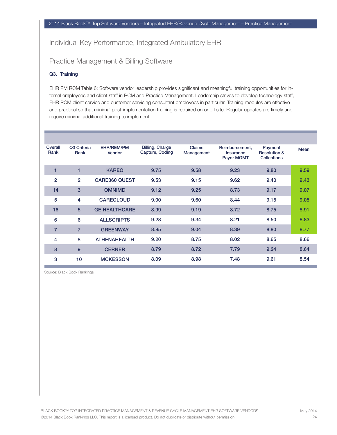## Practice Management & Billing Software

#### Q3. Training

EHR PM RCM Table 6: Software vendor leadership provides significant and meaningful training opportunities for internal employees and client staff in RCM and Practice Management. Leadership strives to develop technology staff, EHR RCM client service and customer servicing consultant employees in particular. Training modules are effective and practical so that minimal post-implementation training is required on or off site. Regular updates are timely and require minimal additional training to implement.

| Overall<br>Rank | Q3 Criteria<br>Rank | EHR/REM/PM<br>Vendor | <b>Billing, Charge</b><br>Capture, Coding | Claims<br>Management | Reimbursement,<br>Insurance<br><b>Payor MGMT</b> | Payment<br><b>Resolution &amp;</b><br><b>Collections</b> | Mean |
|-----------------|---------------------|----------------------|-------------------------------------------|----------------------|--------------------------------------------------|----------------------------------------------------------|------|
| 1               | 1                   | <b>KAREO</b>         | 9.75                                      | 9.58                 | 9.23                                             | 9.80                                                     | 9.59 |
| $\overline{2}$  | $\overline{2}$      | <b>CARE360 QUEST</b> | 9.53                                      | 9.15                 | 9.62                                             | 9.40                                                     | 9.43 |
| 14              | 3                   | <b>OMNIMD</b>        | 9.12                                      | 9.25                 | 8.73                                             | 9.17                                                     | 9.07 |
| 5               | 4                   | <b>CARECLOUD</b>     | 9.00                                      | 9.60                 | 8.44                                             | 9.15                                                     | 9.05 |
| 16              | 5                   | <b>GE HEALTHCARE</b> | 8.99                                      | 9.19                 | 8.72                                             | 8.75                                                     | 8.91 |
| 6               | 6                   | <b>ALLSCRIPTS</b>    | 9.28                                      | 9.34                 | 8.21                                             | 8.50                                                     | 8.83 |
| $\overline{7}$  | $\overline{7}$      | <b>GREENWAY</b>      | 8.85                                      | 9.04                 | 8.39                                             | 8.80                                                     | 8.77 |
| 4               | 8                   | <b>ATHENAHEALTH</b>  | 9.20                                      | 8.75                 | 8.02                                             | 8.65                                                     | 8.66 |
| 8               | 9                   | <b>CERNER</b>        | 8.79                                      | 8.72                 | 7.79                                             | 9.24                                                     | 8.64 |
| 3               | 10                  | <b>MCKESSON</b>      | 8.09                                      | 8.98                 | 7.48                                             | 9.61                                                     | 8.54 |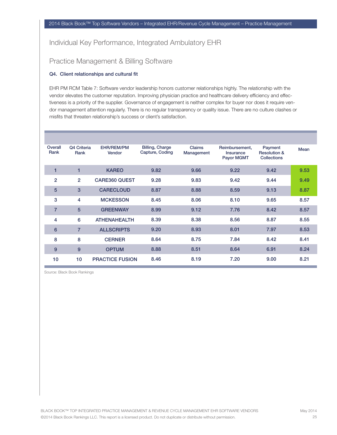## Practice Management & Billing Software

#### Q4. Client relationships and cultural fit

EHR PM RCM Table 7: Software vendor leadership honors customer relationships highly. The relationship with the vendor elevates the customer reputation. Improving physician practice and healthcare delivery efficiency and effectiveness is a priority of the supplier. Governance of engagement is neither complex for buyer nor does it require vendor management attention regularly. There is no regular transparency or quality issue. There are no culture clashes or misfits that threaten relationship's success or client's satisfaction.

| Overall<br>Rank | Q4 Criteria<br>Rank | EHR/REM/PM<br>Vendor   | <b>Billing, Charge</b><br>Capture, Coding | <b>Claims</b><br>Management | Reimbursement,<br>Insurance<br><b>Payor MGMT</b> | Payment<br><b>Resolution &amp;</b><br><b>Collections</b> | Mean |
|-----------------|---------------------|------------------------|-------------------------------------------|-----------------------------|--------------------------------------------------|----------------------------------------------------------|------|
| 1               | 1                   | <b>KAREO</b>           | 9.82                                      | 9.66                        | 9.22                                             | 9.42                                                     | 9.53 |
| $\overline{2}$  | $\overline{2}$      | <b>CARE360 QUEST</b>   | 9.28                                      | 9.83                        | 9.42                                             | 9.44                                                     | 9.49 |
| 5               | 3                   | <b>CARECLOUD</b>       | 8.87                                      | 8.88                        | 8.59                                             | 9.13                                                     | 8.87 |
| 3               | 4                   | <b>MCKESSON</b>        | 8.45                                      | 8.06                        | 8.10                                             | 9.65                                                     | 8.57 |
| $\overline{7}$  | 5                   | <b>GREENWAY</b>        | 8.99                                      | 9.12                        | 7.76                                             | 8.42                                                     | 8.57 |
| 4               | 6                   | <b>ATHENAHEALTH</b>    | 8.39                                      | 8.38                        | 8.56                                             | 8.87                                                     | 8.55 |
| 6               | $\overline{7}$      | <b>ALLSCRIPTS</b>      | 9.20                                      | 8.93                        | 8.01                                             | 7.97                                                     | 8.53 |
| 8               | 8                   | <b>CERNER</b>          | 8.64                                      | 8.75                        | 7.84                                             | 8.42                                                     | 8.41 |
| 9               | 9                   | <b>OPTUM</b>           | 8.88                                      | 8.51                        | 8.64                                             | 6.91                                                     | 8.24 |
| 10              | 10                  | <b>PRACTICE FUSION</b> | 8.46                                      | 8.19                        | 7.20                                             | 9.00                                                     | 8.21 |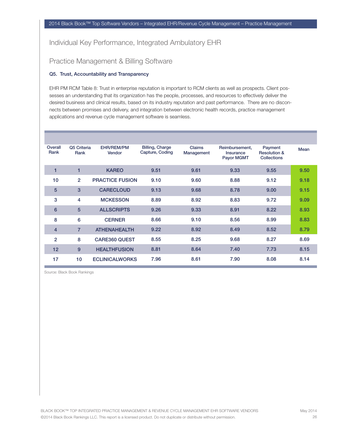## Practice Management & Billing Software

#### Q5. Trust, Accountability and Transparency

EHR PM RCM Table 8: Trust in enterprise reputation is important to RCM clients as well as prospects. Client possesses an understanding that its organization has the people, processes, and resources to effectively deliver the desired business and clinical results, based on its industry reputation and past performance. There are no disconnects between promises and delivery, and integration between electronic health records, practice management applications and revenue cycle management software is seamless.

| Overall<br>Rank | Q5 Criteria<br>Rank | EHR/REM/PM<br>Vendor   | <b>Billing, Charge</b><br>Capture, Coding | Claims<br>Management | Reimbursement,<br>Insurance<br><b>Payor MGMT</b> | Payment<br><b>Resolution &amp;</b><br><b>Collections</b> | Mean |
|-----------------|---------------------|------------------------|-------------------------------------------|----------------------|--------------------------------------------------|----------------------------------------------------------|------|
| 1               | 1                   | <b>KAREO</b>           | 9.51                                      | 9.61                 | 9.33                                             | 9.55                                                     | 9.50 |
| 10              | $\overline{2}$      | <b>PRACTICE FUSION</b> | 9.10                                      | 9.60                 | 8.88                                             | 9.12                                                     | 9.18 |
| 5               | 3                   | <b>CARECLOUD</b>       | 9.13                                      | 9.68                 | 8.78                                             | 9.00                                                     | 9.15 |
| 3               | 4                   | <b>MCKESSON</b>        | 8.89                                      | 8.92                 | 8.83                                             | 9.72                                                     | 9.09 |
| $6\phantom{1}6$ | 5                   | <b>ALLSCRIPTS</b>      | 9.26                                      | 9.33                 | 8.91                                             | 8.22                                                     | 8.93 |
| 8               | 6                   | <b>CERNER</b>          | 8.66                                      | 9.10                 | 8.56                                             | 8.99                                                     | 8.83 |
| $\overline{4}$  | $\overline{7}$      | <b>ATHENAHEALTH</b>    | 9.22                                      | 8.92                 | 8.49                                             | 8.52                                                     | 8.79 |
| $\overline{2}$  | 8                   | <b>CARE360 QUEST</b>   | 8.55                                      | 8.25                 | 9.68                                             | 8.27                                                     | 8.69 |
| 12              | 9                   | <b>HEALTHFUSION</b>    | 8.81                                      | 8.64                 | 7.40                                             | 7.73                                                     | 8.15 |
| 17              | 10                  | <b>ECLINICALWORKS</b>  | 7.96                                      | 8.61                 | 7.90                                             | 8.08                                                     | 8.14 |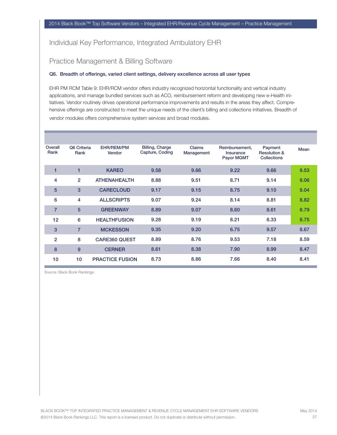## Practice Management & Billing Software

#### Q6. Breadth of offerings, varied client settings, delivery excellence across all user types

EHR PM RCM Table 9: EHR/RCM vendor offers industry recognized horizontal functionality and vertical industry applications, and manage bundled services such as ACO, reimbursement reform and developing new e-Health initiatives. Vendor routinely drives operational performance improvements and results in the areas they affect. Comprehensive offerings are constructed to meet the unique needs of the client's billing and collections initiatives. Breadth of vendor modules offers comprehensive system services and broad modules.

| Overall<br>Rank | Q6 Criteria<br>Rank | EHR/REM/PM<br>Vendor   | <b>Billing, Charge</b><br>Capture, Coding | <b>Claims</b><br>Management | Reimbursement,<br>Insurance<br>Payor MGMT | Payment<br><b>Resolution &amp;</b><br><b>Collections</b> | Mean |
|-----------------|---------------------|------------------------|-------------------------------------------|-----------------------------|-------------------------------------------|----------------------------------------------------------|------|
| 1               | 1                   | <b>KAREO</b>           | 9.58                                      | 9.66                        | 9.22                                      | 9.66                                                     | 9.53 |
| 4               | $\overline{2}$      | <b>ATHENAHEALTH</b>    | 8.88                                      | 9.51                        | 8.71                                      | 9.14                                                     | 9.06 |
| 5               | 3                   | <b>CARECLOUD</b>       | 9.17                                      | 9.15                        | 8.75                                      | 9.10                                                     | 9.04 |
| 6               | 4                   | <b>ALLSCRIPTS</b>      | 9.07                                      | 9.24                        | 8.14                                      | 8.81                                                     | 8.82 |
| $\overline{7}$  | 5                   | <b>GREENWAY</b>        | 8.89                                      | 9.07                        | 8.60                                      | 8.61                                                     | 8.79 |
| 12              | 6                   | <b>HEALTHFUSION</b>    | 9.28                                      | 9.19                        | 8.21                                      | 8.33                                                     | 8.75 |
| 3               | $\overline{7}$      | <b>MCKESSON</b>        | 9.35                                      | 9.20                        | 6.75                                      | 9.57                                                     | 8.67 |
| $\overline{2}$  | 8                   | <b>CARE360 QUEST</b>   | 8.89                                      | 8.76                        | 9.53                                      | 7.18                                                     | 8.59 |
| 8               | 9                   | <b>CERNER</b>          | 8.61                                      | 8.38                        | 7.90                                      | 8.99                                                     | 8.47 |
| 10              | 10                  | <b>PRACTICE FUSION</b> | 8.73                                      | 8.86                        | 7.66                                      | 8.40                                                     | 8.41 |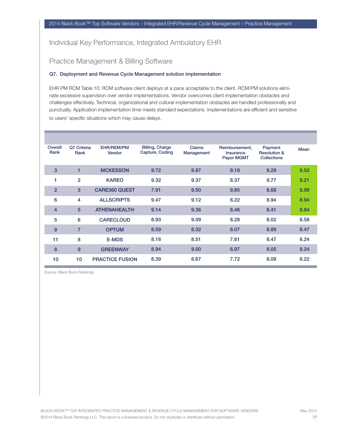## Practice Management & Billing Software

#### Q7. Deployment and Revenue Cycle Management solution implementation

EHR PM RCM Table 10: RCM software client deploys at a pace acceptable to the client. RCM/PM solutions eliminate excessive supervision over vendor implementations. Vendor overcomes client implementation obstacles and challenges effectively. Technical, organizational and cultural implementation obstacles are handled professionally and punctually. Application implementation time meets standard expectations. Implementations are efficient and sensitive to users' specific situations which may cause delays.

| Overall<br>Rank | Q7 Criteria<br>Rank | <b>EHR/REM/PM</b><br>Vendor | <b>Billing, Charge</b><br>Capture, Coding | <b>Claims</b><br>Management | Reimbursement,<br><b>Insurance</b><br>Payor MGMT | Payment<br><b>Resolution &amp;</b><br><b>Collections</b> | Mean |
|-----------------|---------------------|-----------------------------|-------------------------------------------|-----------------------------|--------------------------------------------------|----------------------------------------------------------|------|
| 3               | 1                   | <b>MCKESSON</b>             | 9.72                                      | 9.87                        | 9.18                                             | 9.29                                                     | 9.52 |
| 1               | $\overline{2}$      | <b>KAREO</b>                | 9.32                                      | 9.37                        | 8.37                                             | 9.77                                                     | 9.21 |
| $\overline{2}$  | 3                   | <b>CARE360 QUEST</b>        | 7.91                                      | 9.50                        | 9.85                                             | 8.68                                                     | 8.99 |
| 6               | 4                   | <b>ALLSCRIPTS</b>           | 9.47                                      | 9.12                        | 8.22                                             | 8.94                                                     | 8.94 |
| $\overline{4}$  | 5                   | <b>ATHENAHEALTH</b>         | 9.14                                      | 9.36                        | 8.46                                             | 8.41                                                     | 8.84 |
| 5               | 6                   | <b>CARECLOUD</b>            | 8.93                                      | 9.09                        | 8.28                                             | 8.02                                                     | 8.58 |
| 9               | $\overline{7}$      | <b>OPTUM</b>                | 8.59                                      | 8.32                        | 8.07                                             | 8.89                                                     | 8.47 |
| 11              | 8                   | <b>E-MDS</b>                | 8.18                                      | 8.51                        | 7.81                                             | 8.47                                                     | 8.24 |
| 8               | 9                   | <b>GREENWAY</b>             | 8.94                                      | 9.00                        | 6.97                                             | 8.05                                                     | 8.24 |
| 10              | 10                  | <b>PRACTICE FUSION</b>      | 8.39                                      | 8.67                        | 7.72                                             | 8.09                                                     | 8.22 |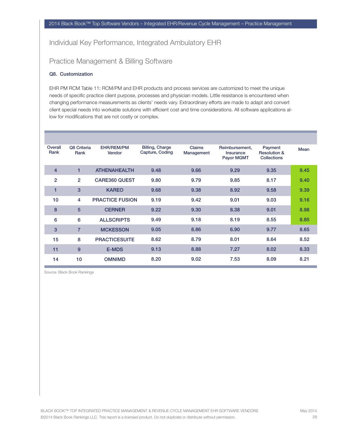## Practice Management & Billing Software

#### Q8. Customization

EHR PM RCM Table 11: RCM/PM and EHR products and process services are customized to meet the unique needs of specific practice client purpose, processes and physician models. Little resistance is encountered when changing performance measurements as clients' needs vary. Extraordinary efforts are made to adapt and convert client special needs into workable solutions with efficient cost and time considerations. All software applications allow for modifications that are not costly or complex.

| Overall<br>Rank | Q8 Criteria<br>Rank | EHR/REM/PM<br>Vendor   | <b>Billing, Charge</b><br>Capture, Coding | Claims<br>Management | Reimbursement,<br>Insurance<br><b>Payor MGMT</b> | Payment<br><b>Resolution &amp;</b><br><b>Collections</b> | Mean |
|-----------------|---------------------|------------------------|-------------------------------------------|----------------------|--------------------------------------------------|----------------------------------------------------------|------|
| $\overline{4}$  | 1                   | <b>ATHENAHEALTH</b>    | 9.48                                      | 9.66                 | 9.29                                             | 9.35                                                     | 9.45 |
| $\overline{2}$  | $\overline{2}$      | <b>CARE360 QUEST</b>   | 9.80                                      | 9.79                 | 9.85                                             | 8.17                                                     | 9.40 |
| 1               | 3                   | <b>KAREO</b>           | 9.68                                      | 9.38                 | 8.92                                             | 9.58                                                     | 9.39 |
| 10              | 4                   | <b>PRACTICE FUSION</b> | 9.19                                      | 9.42                 | 9.01                                             | 9.03                                                     | 9.16 |
| 8               | 5                   | <b>CERNER</b>          | 9.22                                      | 9.30                 | 8.38                                             | 9.01                                                     | 8.98 |
| 6               | 6                   | <b>ALLSCRIPTS</b>      | 9.49                                      | 9.18                 | 8.19                                             | 8.55                                                     | 8.85 |
| 3               | $\overline{7}$      | <b>MCKESSON</b>        | 9.05                                      | 8.86                 | 6.90                                             | 9.77                                                     | 8.65 |
| 15              | 8                   | <b>PRACTICESUITE</b>   | 8.62                                      | 8.79                 | 8.01                                             | 8.64                                                     | 8.52 |
| 11              | 9                   | <b>E-MDS</b>           | 9.13                                      | 8.88                 | 7.27                                             | 8.02                                                     | 8.33 |
| 14              | 10                  | <b>OMNIMD</b>          | 8.20                                      | 9.02                 | 7.53                                             | 8.09                                                     | 8.21 |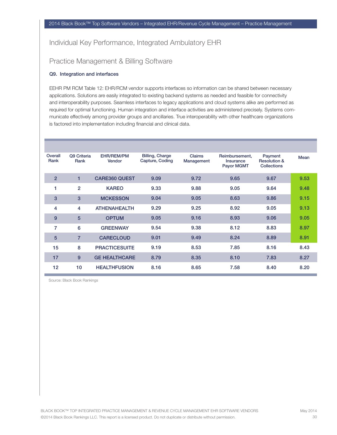## Practice Management & Billing Software

#### Q9. Integration and interfaces

EEHR PM RCM Table 12: EHR/RCM vendor supports interfaces so information can be shared between necessary applications. Solutions are easily integrated to existing backend systems as needed and feasible for connectivity and interoperability purposes. Seamless interfaces to legacy applications and cloud systems alike are performed as required for optimal functioning. Human integration and interface activities are administered precisely. Systems communicate effectively among provider groups and ancillaries. True interoperability with other healthcare organizations is factored into implementation including financial and clinical data.

| Overall<br>Rank | Q9 Criteria<br>Rank | EHR/REM/PM<br>Vendor | <b>Billing, Charge</b><br>Capture, Coding | <b>Claims</b><br>Management | Reimbursement,<br><b>Insurance</b><br><b>Payor MGMT</b> | Payment<br><b>Resolution &amp;</b><br><b>Collections</b> | Mean |
|-----------------|---------------------|----------------------|-------------------------------------------|-----------------------------|---------------------------------------------------------|----------------------------------------------------------|------|
| $\overline{2}$  | 1                   | <b>CARE360 QUEST</b> | 9.09                                      | 9.72                        | 9.65                                                    | 9.67                                                     | 9.53 |
| 1               | $\overline{2}$      | <b>KAREO</b>         | 9.33                                      | 9.88                        | 9.05                                                    | 9.64                                                     | 9.48 |
| 3               | 3                   | <b>MCKESSON</b>      | 9.04                                      | 9.05                        | 8.63                                                    | 9.86                                                     | 9.15 |
| 4               | 4                   | <b>ATHENAHEALTH</b>  | 9.29                                      | 9.25                        | 8.92                                                    | 9.05                                                     | 9.13 |
| 9               | 5                   | <b>OPTUM</b>         | 9.05                                      | 9.16                        | 8.93                                                    | 9.06                                                     | 9.05 |
| 7               | 6                   | <b>GREENWAY</b>      | 9.54                                      | 9.38                        | 8.12                                                    | 8.83                                                     | 8.97 |
| 5               | 7                   | <b>CARECLOUD</b>     | 9.01                                      | 9.49                        | 8.24                                                    | 8.89                                                     | 8.91 |
| 15              | 8                   | <b>PRACTICESUITE</b> | 9.19                                      | 8.53                        | 7.85                                                    | 8.16                                                     | 8.43 |
| 17              | 9                   | <b>GE HEALTHCARE</b> | 8.79                                      | 8.35                        | 8.10                                                    | 7.83                                                     | 8.27 |
| 12              | 10                  | <b>HEALTHFUSION</b>  | 8.16                                      | 8.65                        | 7.58                                                    | 8.40                                                     | 8.20 |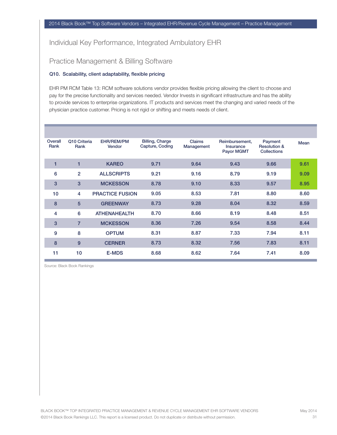## Practice Management & Billing Software

#### Q10. Scalability, client adaptability, flexible pricing

EHR PM RCM Table 13: RCM software solutions vendor provides flexible pricing allowing the client to choose and pay for the precise functionality and services needed. Vendor Invests in significant infrastructure and has the ability to provide services to enterprise organizations. IT products and services meet the changing and varied needs of the physician practice customer. Pricing is not rigid or shifting and meets needs of client.

| Overall<br>Rank | Q10 Criteria<br>Rank | EHR/REM/PM<br>Vendor   | <b>Billing, Charge</b><br>Capture, Coding | <b>Claims</b><br>Management | Reimbursement,<br>Insurance<br><b>Payor MGMT</b> | Payment<br><b>Resolution &amp;</b><br><b>Collections</b> | Mean |
|-----------------|----------------------|------------------------|-------------------------------------------|-----------------------------|--------------------------------------------------|----------------------------------------------------------|------|
| 1               | $\blacksquare$       | <b>KAREO</b>           | 9.71                                      | 9.64                        | 9.43                                             | 9.66                                                     | 9.61 |
| 6               | $\overline{2}$       | <b>ALLSCRIPTS</b>      | 9.21                                      | 9.16                        | 8.79                                             | 9.19                                                     | 9.09 |
| 3               | 3                    | <b>MCKESSON</b>        | 8.78                                      | 9.10                        | 8.33                                             | 9.57                                                     | 8.95 |
| 10              | 4                    | <b>PRACTICE FUSION</b> | 9.05                                      | 8.53                        | 7.81                                             | 8.80                                                     | 8.60 |
| 8               | 5                    | <b>GREENWAY</b>        | 8.73                                      | 9.28                        | 8.04                                             | 8.32                                                     | 8.59 |
| 4               | 6                    | <b>ATHENAHEALTH</b>    | 8.70                                      | 8.66                        | 8.19                                             | 8.48                                                     | 8.51 |
| 3               | $\overline{7}$       | <b>MCKESSON</b>        | 8.36                                      | 7.26                        | 9.54                                             | 8.58                                                     | 8.44 |
| 9               | 8                    | <b>OPTUM</b>           | 8.31                                      | 8.87                        | 7.33                                             | 7.94                                                     | 8.11 |
| 8               | 9                    | <b>CERNER</b>          | 8.73                                      | 8.32                        | 7.56                                             | 7.83                                                     | 8.11 |
| 11              | 10                   | <b>E-MDS</b>           | 8.68                                      | 8.62                        | 7.64                                             | 7.41                                                     | 8.09 |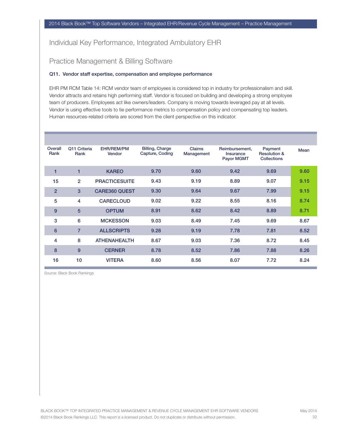## Practice Management & Billing Software

#### Q11. Vendor staff expertise, compensation and employee performance

EHR PM RCM Table 14: RCM vendor team of employees is considered top in industry for professionalism and skill. Vendor attracts and retains high performing staff. Vendor is focused on building and developing a strong employee team of producers. Employees act like owners/leaders. Company is moving towards leveraged pay at all levels. Vendor is using effective tools to tie performance metrics to compensation policy and compensating top leaders. Human resources-related criteria are scored from the client perspective on this indicator.

| Overall<br>Rank | Q11 Criteria<br>Rank | EHR/REM/PM<br>Vendor | <b>Billing, Charge</b><br>Capture, Coding | Claims<br>Management | Reimbursement,<br>Insurance<br><b>Payor MGMT</b> | Payment<br><b>Resolution &amp;</b><br><b>Collections</b> | Mean |
|-----------------|----------------------|----------------------|-------------------------------------------|----------------------|--------------------------------------------------|----------------------------------------------------------|------|
| $\blacksquare$  | $\blacksquare$       | <b>KAREO</b>         | 9.70                                      | 9.60                 | 9.42                                             | 9.69                                                     | 9.60 |
| 15              | $\overline{2}$       | <b>PRACTICESUITE</b> | 9.43                                      | 9.19                 | 8.89                                             | 9.07                                                     | 9.15 |
| $\overline{2}$  | 3                    | <b>CARE360 QUEST</b> | 9.30                                      | 9.64                 | 9.67                                             | 7.99                                                     | 9.15 |
| 5               | 4                    | <b>CARECLOUD</b>     | 9.02                                      | 9.22                 | 8.55                                             | 8.16                                                     | 8.74 |
| 9               | 5                    | <b>OPTUM</b>         | 8.91                                      | 8.62                 | 8.42                                             | 8.89                                                     | 8.71 |
| 3               | $6\phantom{1}6$      | <b>MCKESSON</b>      | 9.03                                      | 8.49                 | 7.45                                             | 9.69                                                     | 8.67 |
| $6\phantom{1}6$ | $\overline{7}$       | <b>ALLSCRIPTS</b>    | 9.28                                      | 9.19                 | 7.78                                             | 7.81                                                     | 8.52 |
| 4               | 8                    | <b>ATHENAHEALTH</b>  | 8.67                                      | 9.03                 | 7.36                                             | 8.72                                                     | 8.45 |
| 8               | 9                    | <b>CERNER</b>        | 8.78                                      | 8.52                 | 7.86                                             | 7.88                                                     | 8.26 |
| 16              | 10                   | <b>VITERA</b>        | 8.60                                      | 8.56                 | 8.07                                             | 7.72                                                     | 8.24 |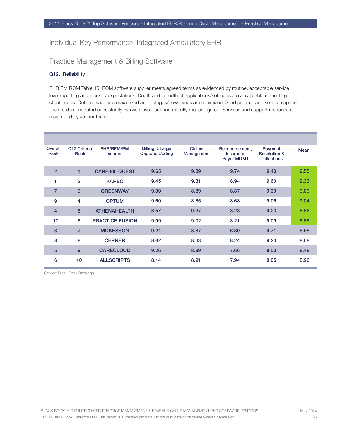## Practice Management & Billing Software

#### Q12. Reliability

EHR PM RCM Table 15: RCM software supplier meets agreed terms as evidenced by routine, acceptable service level reporting and industry expectations. Depth and breadth of applications/solutions are acceptable in meeting client needs. Online reliability is maximized and outages/downtimes are minimized. Solid product and service capacities are demonstrated consistently. Service levels are consistently met as agreed. Services and support response is maximized by vendor team.

| Overall<br>Rank | Q12 Criteria<br>Rank | EHR/REM/PM<br>Vendor   | <b>Billing, Charge</b><br>Capture, Coding | <b>Claims</b><br>Management | Reimbursement,<br>Insurance<br><b>Payor MGMT</b> | Payment<br><b>Resolution &amp;</b><br><b>Collections</b> | Mean |
|-----------------|----------------------|------------------------|-------------------------------------------|-----------------------------|--------------------------------------------------|----------------------------------------------------------|------|
| $\overline{2}$  | 1                    | <b>CARE360 QUEST</b>   | 9.65                                      | 9.39                        | 9.74                                             | 9.40                                                     | 9.55 |
| 1               | $\overline{2}$       | <b>KAREO</b>           | 9.45                                      | 9.31                        | 8.94                                             | 9.60                                                     | 9.33 |
| $\overline{7}$  | 3                    | <b>GREENWAY</b>        | 9.30                                      | 8.89                        | 8.87                                             | 9.30                                                     | 9.09 |
| 9               | 4                    | <b>OPTUM</b>           | 9.60                                      | 8.85                        | 8.63                                             | 9.06                                                     | 9.04 |
| $\overline{4}$  | 5                    | <b>ATHENAHEALTH</b>    | 8.57                                      | 9.37                        | 8.28                                             | 9.23                                                     | 8.86 |
| 10              | 6                    | <b>PRACTICE FUSION</b> | 9.09                                      | 9.02                        | 8.21                                             | 9.09                                                     | 8.85 |
| 3               | $\overline{7}$       | <b>MCKESSON</b>        | 9.24                                      | 8.87                        | 6.89                                             | 9.71                                                     | 8.68 |
| 8               | 8                    | <b>CERNER</b>          | 8.62                                      | 8.63                        | 8.24                                             | 9.23                                                     | 8.68 |
| 5               | 9                    | <b>CARECLOUD</b>       | 9.26                                      | 8.99                        | 7.66                                             | 8.00                                                     | 8.48 |
| 6               | 10                   | <b>ALLSCRIPTS</b>      | 8.14                                      | 8.91                        | 7.94                                             | 8.05                                                     | 8.26 |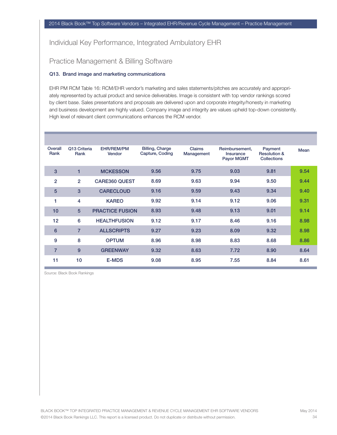## Practice Management & Billing Software

#### Q13. Brand image and marketing communications

EHR PM RCM Table 16: RCM/EHR vendor's marketing and sales statements/pitches are accurately and appropriately represented by actual product and service deliverables. Image is consistent with top vendor rankings scored by client base. Sales presentations and proposals are delivered upon and corporate integrity/honesty in marketing and business development are highly valued. Company image and integrity are values upheld top-down consistently. High level of relevant client communications enhances the RCM vendor.

| Overall<br>Rank | Q13 Criteria<br>Rank | EHR/REM/PM<br>Vendor   | <b>Billing, Charge</b><br>Capture, Coding | Claims<br>Management | Reimbursement,<br>Insurance<br><b>Payor MGMT</b> | Payment<br><b>Resolution &amp;</b><br><b>Collections</b> | Mean |
|-----------------|----------------------|------------------------|-------------------------------------------|----------------------|--------------------------------------------------|----------------------------------------------------------|------|
| $\mathbf{3}$    | 1                    | <b>MCKESSON</b>        | 9.56                                      | 9.75                 | 9.03                                             | 9.81                                                     | 9.54 |
| $\overline{2}$  | $\overline{2}$       | <b>CARE360 QUEST</b>   | 8.69                                      | 9.63                 | 9.94                                             | 9.50                                                     | 9.44 |
| 5               | 3                    | <b>CARECLOUD</b>       | 9.16                                      | 9.59                 | 9.43                                             | 9.34                                                     | 9.40 |
| 1               | 4                    | <b>KAREO</b>           | 9.92                                      | 9.14                 | 9.12                                             | 9.06                                                     | 9.31 |
| 10              | 5                    | <b>PRACTICE FUSION</b> | 8.93                                      | 9.48                 | 9.13                                             | 9.01                                                     | 9.14 |
| 12              | 6                    | <b>HEALTHFUSION</b>    | 9.12                                      | 9.17                 | 8.46                                             | 9.16                                                     | 8.98 |
| 6               | $\overline{7}$       | <b>ALLSCRIPTS</b>      | 9.27                                      | 9.23                 | 8.09                                             | 9.32                                                     | 8.98 |
| 9               | 8                    | <b>OPTUM</b>           | 8.96                                      | 8.98                 | 8.83                                             | 8.68                                                     | 8.86 |
| $\overline{7}$  | 9                    | <b>GREENWAY</b>        | 9.32                                      | 8.63                 | 7.72                                             | 8.90                                                     | 8.64 |
| 11              | 10                   | <b>E-MDS</b>           | 9.08                                      | 8.95                 | 7.55                                             | 8.84                                                     | 8.61 |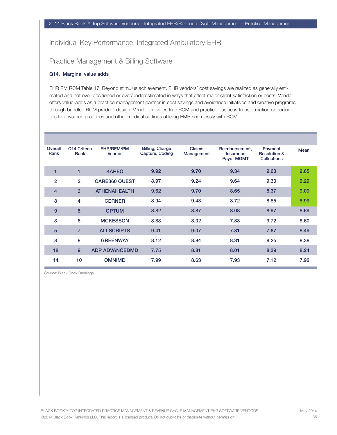## Practice Management & Billing Software

#### Q14. Marginal value adds

EHR PM RCM Table 17: Beyond stimulus achievement, EHR vendors' cost savings are realized as generally estimated and not over-positioned or over/underestimated in ways that effect major client satisfaction or costs. Vendor offers value-adds as a practice management partner in cost savings and avoidance initiatives and creative programs through bundled RCM product design. Vendor provides true RCM and practice business transformation opportunities to physician practices and other medical settings utilizing EMR seamlessly with RCM.

| Overall<br>Rank | Q14 Criteria<br>Rank | <b>EHR/REM/PM</b><br>Vendor | <b>Billing, Charge</b><br>Capture, Coding | <b>Claims</b><br>Management | Reimbursement,<br>Insurance<br><b>Payor MGMT</b> | Payment<br><b>Resolution &amp;</b><br><b>Collections</b> | Mean |
|-----------------|----------------------|-----------------------------|-------------------------------------------|-----------------------------|--------------------------------------------------|----------------------------------------------------------|------|
| 1               | $\blacksquare$       | <b>KAREO</b>                | 9.92                                      | 9.70                        | 9.34                                             | 9.63                                                     | 9.65 |
| $\overline{2}$  | $\overline{2}$       | <b>CARE360 QUEST</b>        | 8.97                                      | 9.24                        | 9.64                                             | 9.30                                                     | 9.29 |
| $\overline{4}$  | 3                    | <b>ATHENAHEALTH</b>         | 9.62                                      | 9.70                        | 8.65                                             | 8.37                                                     | 9.09 |
| 8               | 4                    | <b>CERNER</b>               | 8.94                                      | 9.43                        | 8.72                                             | 8.85                                                     | 8.99 |
| 9               | 5                    | <b>OPTUM</b>                | 8.82                                      | 8.87                        | 8.08                                             | 8.97                                                     | 8.69 |
| 3               | 6                    | <b>MCKESSON</b>             | 8.83                                      | 8.02                        | 7.83                                             | 9.72                                                     | 8.60 |
| $5\phantom{1}$  | $\overline{7}$       | <b>ALLSCRIPTS</b>           | 9.41                                      | 9.07                        | 7.81                                             | 7.67                                                     | 8.49 |
| 8               | 8                    | <b>GREENWAY</b>             | 8.12                                      | 8.84                        | 8.31                                             | 8.25                                                     | 8.38 |
| 18              | 9                    | <b>ADP ADVANCEDMD</b>       | 7.75                                      | 8.81                        | 8.01                                             | 8.39                                                     | 8.24 |
| 14              | 10                   | <b>OMNIMD</b>               | 7.99                                      | 8.63                        | 7.93                                             | 7.12                                                     | 7.92 |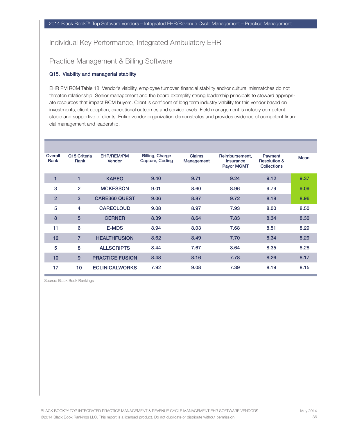## Practice Management & Billing Software

#### Q15. Viability and managerial stability

EHR PM RCM Table 18: Vendor's viability, employee turnover, financial stability and/or cultural mismatches do not threaten relationship. Senior management and the board exemplify strong leadership principals to steward appropriate resources that impact RCM buyers. Client is confident of long term industry viability for this vendor based on investments, client adoption, exceptional outcomes and service levels. Field management is notably competent, stable and supportive of clients. Entire vendor organization demonstrates and provides evidence of competent financial management and leadership.

| Overall<br>Rank | Q15 Criteria<br>Rank | <b>EHR/REM/PM</b><br>Vendor | <b>Billing, Charge</b><br>Capture, Coding | Claims<br>Management | Reimbursement,<br><b>Insurance</b><br>Payor MGMT | Payment<br><b>Resolution &amp;</b><br><b>Collections</b> | Mean |
|-----------------|----------------------|-----------------------------|-------------------------------------------|----------------------|--------------------------------------------------|----------------------------------------------------------|------|
| 1               | 1                    | <b>KAREO</b>                | 9.40                                      | 9.71                 | 9.24                                             | 9.12                                                     | 9.37 |
| 3               | $\overline{2}$       | <b>MCKESSON</b>             | 9.01                                      | 8.60                 | 8.96                                             | 9.79                                                     | 9.09 |
| $\overline{2}$  | 3                    | <b>CARE360 QUEST</b>        | 9.06                                      | 8.87                 | 9.72                                             | 8.18                                                     | 8.96 |
| 5               | 4                    | <b>CARECLOUD</b>            | 9.08                                      | 8.97                 | 7.93                                             | 8.00                                                     | 8.50 |
| 8               | 5                    | <b>CERNER</b>               | 8.39                                      | 8.64                 | 7.83                                             | 8.34                                                     | 8.30 |
| 11              | 6                    | <b>E-MDS</b>                | 8.94                                      | 8.03                 | 7.68                                             | 8.51                                                     | 8.29 |
| 12              | $\overline{7}$       | <b>HEALTHFUSION</b>         | 8.62                                      | 8.49                 | 7.70                                             | 8.34                                                     | 8.29 |
| 5               | 8                    | <b>ALLSCRIPTS</b>           | 8.44                                      | 7.67                 | 8.64                                             | 8.35                                                     | 8.28 |
| 10              | 9                    | <b>PRACTICE FUSION</b>      | 8.48                                      | 8.16                 | 7.78                                             | 8.26                                                     | 8.17 |
| 17              | 10                   | <b>ECLINICALWORKS</b>       | 7.92                                      | 9.08                 | 7.39                                             | 8.19                                                     | 8.15 |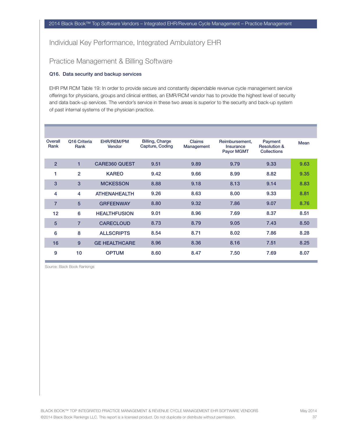## Practice Management & Billing Software

#### Q16. Data security and backup services

EHR PM RCM Table 19: In order to provide secure and constantly dependable revenue cycle management service offerings for physicians, groups and clinical entities, an EMR/RCM vendor has to provide the highest level of security and data back-up services. The vendor's service in these two areas is superior to the security and back-up system of past internal systems of the physician practice.

| Overall<br>Rank | Q16 Criteria<br>Rank | <b>EHR/REM/PM</b><br>Vendor | <b>Billing, Charge</b><br>Capture, Coding | <b>Claims</b><br>Management | Reimbursement,<br>Insurance<br>Payor MGMT | Payment<br><b>Resolution &amp;</b><br><b>Collections</b> | Mean |
|-----------------|----------------------|-----------------------------|-------------------------------------------|-----------------------------|-------------------------------------------|----------------------------------------------------------|------|
| $\overline{2}$  |                      | <b>CARE360 QUEST</b>        | 9.51                                      | 9.89                        | 9.79                                      | 9.33                                                     | 9.63 |
| 1               | $\overline{2}$       | <b>KAREO</b>                | 9.42                                      | 9.66                        | 8.99                                      | 8.82                                                     | 9.35 |
| 3               | 3                    | <b>MCKESSON</b>             | 8.88                                      | 9.18                        | 8.13                                      | 9.14                                                     | 8.83 |
| 4               | 4                    | <b>ATHENAHEALTH</b>         | 9.26                                      | 8.63                        | 8.00                                      | 9.33                                                     | 8.81 |
| $\overline{7}$  | $5\phantom{1}$       | <b>GRFEENWAY</b>            | 8.80                                      | 9.32                        | 7.86                                      | 9.07                                                     | 8.76 |
| 12              | 6                    | <b>HEALTHFUSION</b>         | 9.01                                      | 8.96                        | 7.69                                      | 8.37                                                     | 8.51 |
| 5               | $\overline{7}$       | <b>CARECLOUD</b>            | 8.73                                      | 8.79                        | 9.05                                      | 7.43                                                     | 8.50 |
| 6               | 8                    | <b>ALLSCRIPTS</b>           | 8.54                                      | 8.71                        | 8.02                                      | 7.86                                                     | 8.28 |
| 16              | 9                    | <b>GE HEALTHCARE</b>        | 8.96                                      | 8.36                        | 8.16                                      | 7.51                                                     | 8.25 |
| 9               | 10                   | <b>OPTUM</b>                | 8.60                                      | 8.47                        | 7.50                                      | 7.69                                                     | 8.07 |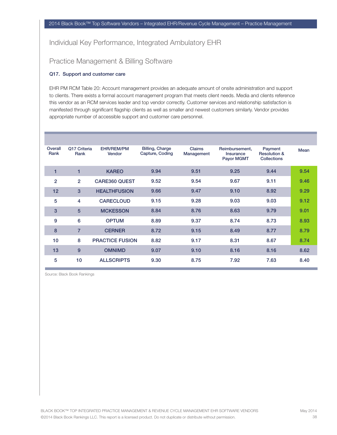## Practice Management & Billing Software

#### Q17. Support and customer care

EHR PM RCM Table 20: Account management provides an adequate amount of onsite administration and support to clients. There exists a formal account management program that meets client needs. Media and clients reference this vendor as an RCM services leader and top vendor correctly. Customer services and relationship satisfaction is manifested through significant flagship clients as well as smaller and newest customers similarly. Vendor provides appropriate number of accessible support and customer care personnel.

| Overall<br>Rank | Q17 Criteria<br>Rank | <b>EHR/REM/PM</b><br>Vendor | <b>Billing, Charge</b><br>Capture, Coding | <b>Claims</b><br>Management | Reimbursement,<br>Insurance<br>Payor MGMT | Payment<br><b>Resolution &amp;</b><br><b>Collections</b> | <b>Mean</b> |
|-----------------|----------------------|-----------------------------|-------------------------------------------|-----------------------------|-------------------------------------------|----------------------------------------------------------|-------------|
| 1               |                      | <b>KAREO</b>                | 9.94                                      | 9.51                        | 9.25                                      | 9.44                                                     | 9.54        |
| $\overline{2}$  | $\overline{2}$       | <b>CARE360 QUEST</b>        | 9.52                                      | 9.54                        | 9.67                                      | 9.11                                                     | 9.46        |
| 12              | 3                    | <b>HEALTHFUSION</b>         | 9.66                                      | 9.47                        | 9.10                                      | 8.92                                                     | 9.29        |
| 5               | 4                    | <b>CARECLOUD</b>            | 9.15                                      | 9.28                        | 9.03                                      | 9.03                                                     | 9.12        |
| 3               | 5                    | <b>MCKESSON</b>             | 8.84                                      | 8.76                        | 8.63                                      | 9.79                                                     | 9.01        |
| 9               | 6                    | <b>OPTUM</b>                | 8.89                                      | 9.37                        | 8.74                                      | 8.73                                                     | 8.93        |
| 8               | $\overline{7}$       | <b>CERNER</b>               | 8.72                                      | 9.15                        | 8.49                                      | 8.77                                                     | 8.79        |
| 10              | 8                    | <b>PRACTICE FUSION</b>      | 8.82                                      | 9.17                        | 8.31                                      | 8.67                                                     | 8.74        |
| 13              | 9                    | <b>OMNIMD</b>               | 9.07                                      | 9.10                        | 8.16                                      | 8.16                                                     | 8.62        |
| 5               | 10                   | <b>ALLSCRIPTS</b>           | 9.30                                      | 8.75                        | 7.92                                      | 7.63                                                     | 8.40        |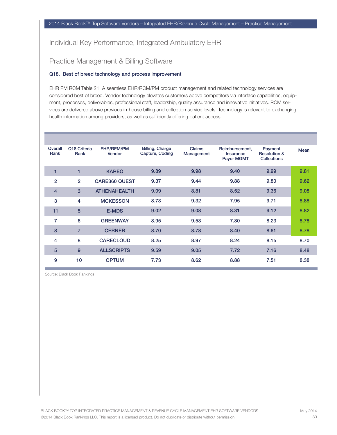## Practice Management & Billing Software

#### Q18. Best of breed technology and process improvement

EHR PM RCM Table 21: A seamless EHR/RCM/PM product management and related technology services are considered best of breed. Vendor technology elevates customers above competitors via interface capabilities, equipment, processes, deliverables, professional staff, leadership, quality assurance and innovative initiatives. RCM services are delivered above previous in-house billing and collection service levels. Technology is relevant to exchanging health information among providers, as well as sufficiently offering patient access.

| Overall<br>Rank | Q18 Criteria<br>Rank | EHR/REM/PM<br>Vendor | <b>Billing, Charge</b><br>Capture, Coding | <b>Claims</b><br>Management | Reimbursement,<br><b>Insurance</b><br><b>Payor MGMT</b> | Payment<br><b>Resolution &amp;</b><br><b>Collections</b> | Mean |
|-----------------|----------------------|----------------------|-------------------------------------------|-----------------------------|---------------------------------------------------------|----------------------------------------------------------|------|
| 1               | 1                    | <b>KAREO</b>         | 9.89                                      | 9.98                        | 9.40                                                    | 9.99                                                     | 9.81 |
| 2               | $\overline{2}$       | <b>CARE360 QUEST</b> | 9.37                                      | 9.44                        | 9.88                                                    | 9.80                                                     | 9.62 |
| $\overline{4}$  | 3                    | <b>ATHENAHEALTH</b>  | 9.09                                      | 8.81                        | 8.52                                                    | 9.36                                                     | 9.08 |
| 3               | 4                    | <b>MCKESSON</b>      | 8.73                                      | 9.32                        | 7.95                                                    | 9.71                                                     | 8.88 |
| 11              | 5                    | <b>E-MDS</b>         | 9.02                                      | 9.08                        | 8.31                                                    | 9.12                                                     | 8.82 |
| 7               | 6                    | <b>GREENWAY</b>      | 8.95                                      | 9.53                        | 7.80                                                    | 8.23                                                     | 8.78 |
| 8               | $\overline{7}$       | <b>CERNER</b>        | 8.70                                      | 8.78                        | 8.40                                                    | 8.61                                                     | 8.78 |
| 4               | 8                    | <b>CARECLOUD</b>     | 8.25                                      | 8.97                        | 8.24                                                    | 8.15                                                     | 8.70 |
| 5               | 9                    | <b>ALLSCRIPTS</b>    | 9.59                                      | 9.05                        | 7.72                                                    | 7.16                                                     | 8.48 |
| 9               | 10                   | <b>OPTUM</b>         | 7.73                                      | 8.62                        | 8.88                                                    | 7.51                                                     | 8.38 |